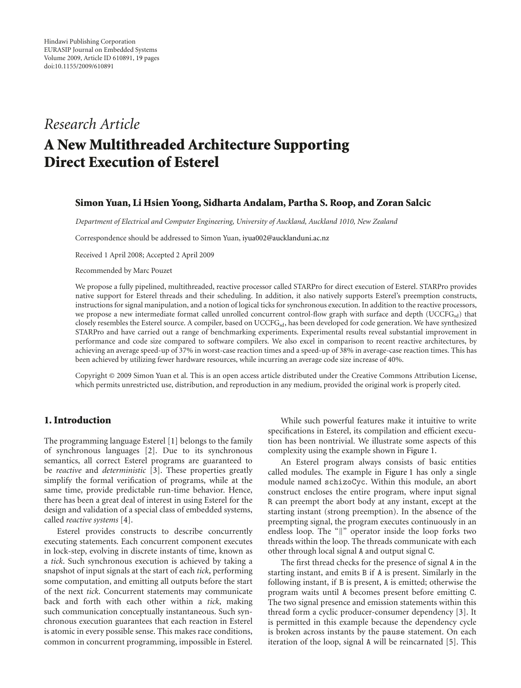# *Research Article*

# **A New Multithreaded Architecture Supporting Direct Execution of Esterel**

## **Simon Yuan, Li Hsien Yoong, Sidharta Andalam, Partha S. Roop, and Zoran Salcic**

*Department of Electrical and Computer Engineering, University of Auckland, Auckland 1010, New Zealand*

Correspondence should be addressed to Simon Yuan, iyua002@aucklanduni.ac.nz

Received 1 April 2008; Accepted 2 April 2009

Recommended by Marc Pouzet

We propose a fully pipelined, multithreaded, reactive processor called STARPro for direct execution of Esterel. STARPro provides native support for Esterel threads and their scheduling. In addition, it also natively supports Esterel's preemption constructs, instructions for signal manipulation, and a notion of logical ticks for synchronous execution. In addition to the reactive processors, we propose a new intermediate format called unrolled concurrent control-flow graph with surface and depth (UCCFG $_{sd}$ ) that closely resembles the Esterel source. A compiler, based on UCCFG<sub>sd</sub>, has been developed for code generation. We have synthesized STARPro and have carried out a range of benchmarking experiments. Experimental results reveal substantial improvement in performance and code size compared to software compilers. We also excel in comparison to recent reactive architectures, by achieving an average speed-up of 37% in worst-case reaction times and a speed-up of 38% in average-case reaction times. This has been achieved by utilizing fewer hardware resources, while incurring an average code size increase of 40%.

Copyright © 2009 Simon Yuan et al. This is an open access article distributed under the Creative Commons Attribution License, which permits unrestricted use, distribution, and reproduction in any medium, provided the original work is properly cited.

# **1. Introduction**

The programming language Esterel [1] belongs to the family of synchronous languages [2]. Due to its synchronous semantics, all correct Esterel programs are guaranteed to be *reactive* and *deterministic* [3]. These properties greatly simplify the formal verification of programs, while at the same time, provide predictable run-time behavior. Hence, there has been a great deal of interest in using Esterel for the design and validation of a special class of embedded systems, called *reactive systems* [4].

Esterel provides constructs to describe concurrently executing statements. Each concurrent component executes in lock-step, evolving in discrete instants of time, known as a *tick*. Such synchronous execution is achieved by taking a snapshot of input signals at the start of each *tick*, performing some computation, and emitting all outputs before the start of the next *tick*. Concurrent statements may communicate back and forth with each other within a *tick*, making such communication conceptually instantaneous. Such synchronous execution guarantees that each reaction in Esterel is atomic in every possible sense. This makes race conditions, common in concurrent programming, impossible in Esterel.

While such powerful features make it intuitive to write specifications in Esterel, its compilation and efficient execution has been nontrivial. We illustrate some aspects of this complexity using the example shown in Figure 1.

An Esterel program always consists of basic entities called modules. The example in Figure 1 has only a single module named schizoCyc. Within this module, an abort construct encloses the entire program, where input signal R can preempt the abort body at any instant, except at the starting instant (strong preemption). In the absence of the preempting signal, the program executes continuously in an endless loop. The "||" operator inside the loop forks two threads within the loop. The threads communicate with each other through local signal A and output signal C.

The first thread checks for the presence of signal A in the starting instant, and emits B if A is present. Similarly in the following instant, if B is present, A is emitted; otherwise the program waits until A becomes present before emitting C. The two signal presence and emission statements within this thread form a cyclic producer-consumer dependency [3]. It is permitted in this example because the dependency cycle is broken across instants by the pause statement. On each iteration of the loop, signal A will be reincarnated [5]. This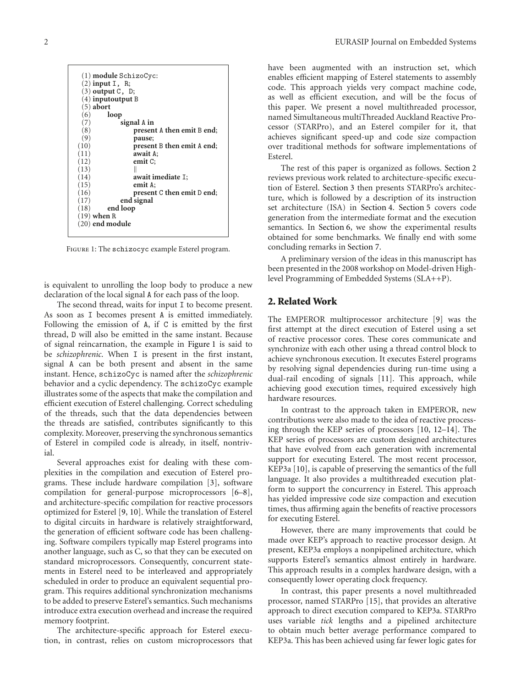

Figure 1: The schizocyc example Esterel program.

is equivalent to unrolling the loop body to produce a new declaration of the local signal A for each pass of the loop.

The second thread, waits for input I to become present. As soon as I becomes present A is emitted immediately. Following the emission of A, if C is emitted by the first thread, D will also be emitted in the same instant. Because of signal reincarnation, the example in Figure 1 is said to be *schizophrenic*. When I is present in the first instant, signal A can be both present and absent in the same instant. Hence, schizoCyc is named after the *schizophrenic* behavior and a cyclic dependency. The schizoCyc example illustrates some of the aspects that make the compilation and efficient execution of Esterel challenging. Correct scheduling of the threads, such that the data dependencies between the threads are satisfied, contributes significantly to this complexity. Moreover, preserving the synchronous semantics of Esterel in compiled code is already, in itself, nontrivial.

Several approaches exist for dealing with these complexities in the compilation and execution of Esterel programs. These include hardware compilation [3], software compilation for general-purpose microprocessors [6–8], and architecture-specific compilation for reactive processors optimized for Esterel [9, 10]. While the translation of Esterel to digital circuits in hardware is relatively straightforward, the generation of efficient software code has been challenging. Software compilers typically map Esterel programs into another language, such as C, so that they can be executed on standard microprocessors. Consequently, concurrent statements in Esterel need to be interleaved and appropriately scheduled in order to produce an equivalent sequential program. This requires additional synchronization mechanisms to be added to preserve Esterel's semantics. Such mechanisms introduce extra execution overhead and increase the required memory footprint.

The architecture-specific approach for Esterel execution, in contrast, relies on custom microprocessors that have been augmented with an instruction set, which enables efficient mapping of Esterel statements to assembly code. This approach yields very compact machine code, as well as efficient execution, and will be the focus of this paper. We present a novel multithreaded processor, named Simultaneous multiThreaded Auckland Reactive Processor (STARPro), and an Esterel compiler for it, that achieves significant speed-up and code size compaction over traditional methods for software implementations of Esterel.

The rest of this paper is organized as follows. Section 2 reviews previous work related to architecture-specific execution of Esterel. Section 3 then presents STARPro's architecture, which is followed by a description of its instruction set architecture (ISA) in Section 4. Section 5 covers code generation from the intermediate format and the execution semantics. In Section 6, we show the experimental results obtained for some benchmarks. We finally end with some concluding remarks in Section 7.

A preliminary version of the ideas in this manuscript has been presented in the 2008 workshop on Model-driven Highlevel Programming of Embedded Systems (SLA++P).

# **2. Related Work**

The EMPEROR multiprocessor architecture [9] was the first attempt at the direct execution of Esterel using a set of reactive processor cores. These cores communicate and synchronize with each other using a thread control block to achieve synchronous execution. It executes Esterel programs by resolving signal dependencies during run-time using a dual-rail encoding of signals [11]. This approach, while achieving good execution times, required excessively high hardware resources.

In contrast to the approach taken in EMPEROR, new contributions were also made to the idea of reactive processing through the KEP series of processors [10, 12–14]. The KEP series of processors are custom designed architectures that have evolved from each generation with incremental support for executing Esterel. The most recent processor, KEP3a [10], is capable of preserving the semantics of the full language. It also provides a multithreaded execution platform to support the concurrency in Esterel. This approach has yielded impressive code size compaction and execution times, thus affirming again the benefits of reactive processors for executing Esterel.

However, there are many improvements that could be made over KEP's approach to reactive processor design. At present, KEP3a employs a nonpipelined architecture, which supports Esterel's semantics almost entirely in hardware. This approach results in a complex hardware design, with a consequently lower operating clock frequency.

In contrast, this paper presents a novel multithreaded processor, named STARPro [15], that provides an alterative approach to direct execution compared to KEP3a. STARPro uses variable *tick* lengths and a pipelined architecture to obtain much better average performance compared to KEP3a. This has been achieved using far fewer logic gates for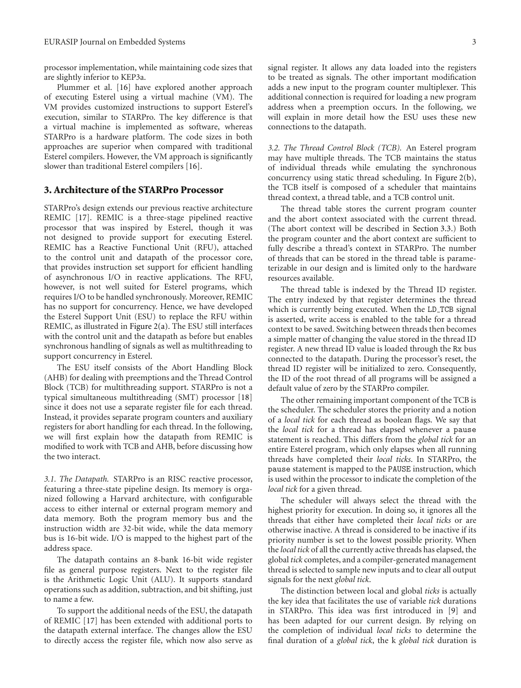processor implementation, while maintaining code sizes that are slightly inferior to KEP3a.

Plummer et al. [16] have explored another approach of executing Esterel using a virtual machine (VM). The VM provides customized instructions to support Esterel's execution, similar to STARPro. The key difference is that a virtual machine is implemented as software, whereas STARPro is a hardware platform. The code sizes in both approaches are superior when compared with traditional Esterel compilers. However, the VM approach is significantly slower than traditional Esterel compilers [16].

## **3. Architecture of the STARPro Processor**

STARPro's design extends our previous reactive architecture REMIC [17]. REMIC is a three-stage pipelined reactive processor that was inspired by Esterel, though it was not designed to provide support for executing Esterel. REMIC has a Reactive Functional Unit (RFU), attached to the control unit and datapath of the processor core, that provides instruction set support for efficient handling of asynchronous I/O in reactive applications. The RFU, however, is not well suited for Esterel programs, which requires I/O to be handled synchronously. Moreover, REMIC has no support for concurrency. Hence, we have developed the Esterel Support Unit (ESU) to replace the RFU within REMIC, as illustrated in Figure 2(a). The ESU still interfaces with the control unit and the datapath as before but enables synchronous handling of signals as well as multithreading to support concurrency in Esterel.

The ESU itself consists of the Abort Handling Block (AHB) for dealing with preemptions and the Thread Control Block (TCB) for multithreading support. STARPro is not a typical simultaneous multithreading (SMT) processor [18] since it does not use a separate register file for each thread. Instead, it provides separate program counters and auxiliary registers for abort handling for each thread. In the following, we will first explain how the datapath from REMIC is modified to work with TCB and AHB, before discussing how the two interact.

*3.1. The Datapath.* STARPro is an RISC reactive processor, featuring a three-state pipeline design. Its memory is organized following a Harvard architecture, with configurable access to either internal or external program memory and data memory. Both the program memory bus and the instruction width are 32-bit wide, while the data memory bus is 16-bit wide. I/O is mapped to the highest part of the address space.

The datapath contains an 8-bank 16-bit wide register file as general purpose registers. Next to the register file is the Arithmetic Logic Unit (ALU). It supports standard operations such as addition, subtraction, and bit shifting, just to name a few.

To support the additional needs of the ESU, the datapath of REMIC [17] has been extended with additional ports to the datapath external interface. The changes allow the ESU to directly access the register file, which now also serve as

signal register. It allows any data loaded into the registers to be treated as signals. The other important modification adds a new input to the program counter multiplexer. This additional connection is required for loading a new program address when a preemption occurs. In the following, we will explain in more detail how the ESU uses these new connections to the datapath.

*3.2. The Thread Control Block (TCB).* An Esterel program may have multiple threads. The TCB maintains the status of individual threads while emulating the synchronous concurrency using static thread scheduling. In Figure 2(b), the TCB itself is composed of a scheduler that maintains thread context, a thread table, and a TCB control unit.

The thread table stores the current program counter and the abort context associated with the current thread. (The abort context will be described in Section 3.3.) Both the program counter and the abort context are sufficient to fully describe a thread's context in STARPro. The number of threads that can be stored in the thread table is parameterizable in our design and is limited only to the hardware resources available.

The thread table is indexed by the Thread ID register. The entry indexed by that register determines the thread which is currently being executed. When the LD\_TCB signal is asserted, write access is enabled to the table for a thread context to be saved. Switching between threads then becomes a simple matter of changing the value stored in the thread ID register. A new thread ID value is loaded through the Rx bus connected to the datapath. During the processor's reset, the thread ID register will be initialized to zero. Consequently, the ID of the root thread of all programs will be assigned a default value of zero by the STARPro compiler.

The other remaining important component of the TCB is the scheduler. The scheduler stores the priority and a notion of a *local tick* for each thread as boolean flags. We say that the *local tick* for a thread has elapsed whenever a pause statement is reached. This differs from the *global tick* for an entire Esterel program, which only elapses when all running threads have completed their *local ticks*. In STARPro, the pause statement is mapped to the PAUSE instruction, which is used within the processor to indicate the completion of the *local tick* for a given thread.

The scheduler will always select the thread with the highest priority for execution. In doing so, it ignores all the threads that either have completed their *local ticks* or are otherwise inactive. A thread is considered to be inactive if its priority number is set to the lowest possible priority. When the *local tick* of all the currently active threads has elapsed, the global *tick* completes, and a compiler-generated management thread is selected to sample new inputs and to clear all output signals for the next *global tick*.

The distinction between local and global *ticks* is actually the key idea that facilitates the use of variable *tick* durations in STARPro. This idea was first introduced in [9] and has been adapted for our current design. By relying on the completion of individual *local ticks* to determine the final duration of a *global tick*, the k *global tick* duration is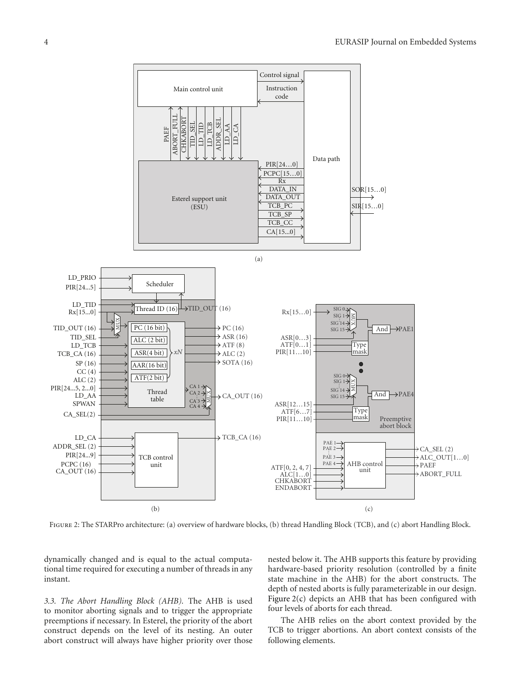

Figure 2: The STARPro architecture: (a) overview of hardware blocks, (b) thread Handling Block (TCB), and (c) abort Handling Block.

dynamically changed and is equal to the actual computational time required for executing a number of threads in any instant.

*3.3. The Abort Handling Block (AHB).* The AHB is used to monitor aborting signals and to trigger the appropriate preemptions if necessary. In Esterel, the priority of the abort construct depends on the level of its nesting. An outer abort construct will always have higher priority over those

nested below it. The AHB supports this feature by providing hardware-based priority resolution (controlled by a finite state machine in the AHB) for the abort constructs. The depth of nested aborts is fully parameterizable in our design. Figure  $2(c)$  depicts an AHB that has been configured with four levels of aborts for each thread.

The AHB relies on the abort context provided by the TCB to trigger abortions. An abort context consists of the following elements.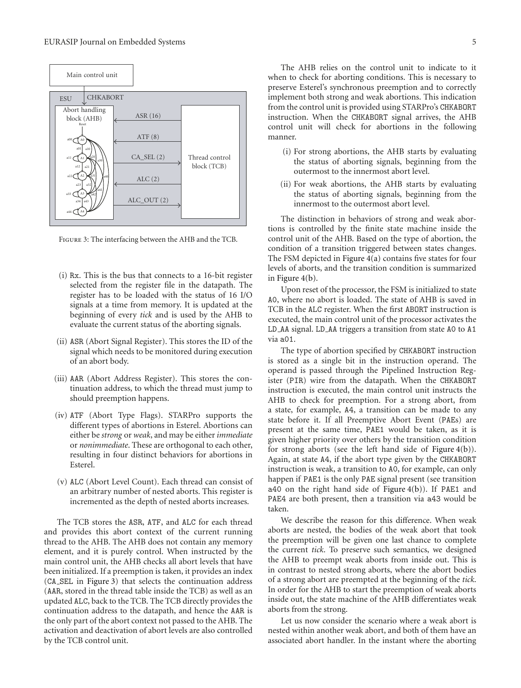

Figure 3: The interfacing between the AHB and the TCB.

- (i) Rx. This is the bus that connects to a 16-bit register selected from the register file in the datapath. The register has to be loaded with the status of 16 I/O signals at a time from memory. It is updated at the beginning of every *tick* and is used by the AHB to evaluate the current status of the aborting signals.
- (ii) ASR (Abort Signal Register). This stores the ID of the signal which needs to be monitored during execution of an abort body.
- (iii) AAR (Abort Address Register). This stores the continuation address, to which the thread must jump to should preemption happens.
- (iv) ATF (Abort Type Flags). STARPro supports the different types of abortions in Esterel. Abortions can either be *strong* or *weak*, and may be either *immediate* or *nonimmediate*. These are orthogonal to each other, resulting in four distinct behaviors for abortions in Esterel.
- (v) ALC (Abort Level Count). Each thread can consist of an arbitrary number of nested aborts. This register is incremented as the depth of nested aborts increases.

The TCB stores the ASR, ATF, and ALC for each thread and provides this abort context of the current running thread to the AHB. The AHB does not contain any memory element, and it is purely control. When instructed by the main control unit, the AHB checks all abort levels that have been initialized. If a preemption is taken, it provides an index (CA SEL in Figure 3) that selects the continuation address (AAR, stored in the thread table inside the TCB) as well as an updated ALC, back to the TCB. The TCB directly provides the continuation address to the datapath, and hence the AAR is the only part of the abort context not passed to the AHB. The activation and deactivation of abort levels are also controlled by the TCB control unit.

The AHB relies on the control unit to indicate to it when to check for aborting conditions. This is necessary to preserve Esterel's synchronous preemption and to correctly implement both strong and weak abortions. This indication from the control unit is provided using STARPro's CHKABORT instruction. When the CHKABORT signal arrives, the AHB control unit will check for abortions in the following manner.

- (i) For strong abortions, the AHB starts by evaluating the status of aborting signals, beginning from the outermost to the innermost abort level.
- (ii) For weak abortions, the AHB starts by evaluating the status of aborting signals, beginning from the innermost to the outermost abort level.

The distinction in behaviors of strong and weak abortions is controlled by the finite state machine inside the control unit of the AHB. Based on the type of abortion, the condition of a transition triggered between states changes. The FSM depicted in Figure 4(a) contains five states for four levels of aborts, and the transition condition is summarized in Figure 4(b).

Upon reset of the processor, the FSM is initialized to state A0, where no abort is loaded. The state of AHB is saved in TCB in the ALC register. When the first ABORT instruction is executed, the main control unit of the processor activates the LD AA signal. LD AA triggers a transition from state A0 to A1 via a01.

The type of abortion specified by CHKABORT instruction is stored as a single bit in the instruction operand. The operand is passed through the Pipelined Instruction Register (PIR) wire from the datapath. When the CHKABORT instruction is executed, the main control unit instructs the AHB to check for preemption. For a strong abort, from a state, for example, A4, a transition can be made to any state before it. If all Preemptive Abort Event (PAEs) are present at the same time, PAE1 would be taken, as it is given higher priority over others by the transition condition for strong aborts (see the left hand side of Figure 4(b)). Again, at state A4, if the abort type given by the CHKABORT instruction is weak, a transition to A0, for example, can only happen if PAE1 is the only PAE signal present (see transition a40 on the right hand side of Figure 4(b)). If PAE1 and PAE4 are both present, then a transition via a43 would be taken.

We describe the reason for this difference. When weak aborts are nested, the bodies of the weak abort that took the preemption will be given one last chance to complete the current *tick*. To preserve such semantics, we designed the AHB to preempt weak aborts from inside out. This is in contrast to nested strong aborts, where the abort bodies of a strong abort are preempted at the beginning of the *tick*. In order for the AHB to start the preemption of weak aborts inside out, the state machine of the AHB differentiates weak aborts from the strong.

Let us now consider the scenario where a weak abort is nested within another weak abort, and both of them have an associated abort handler. In the instant where the aborting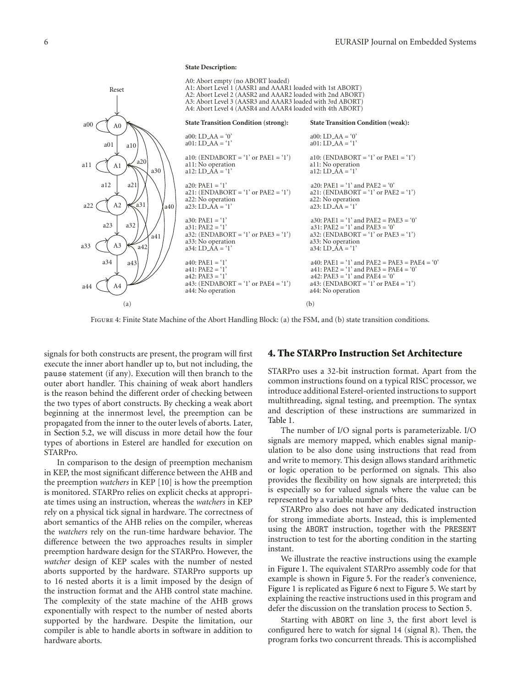#### **State Description:**



Figure 4: Finite State Machine of the Abort Handling Block: (a) the FSM, and (b) state transition conditions.

signals for both constructs are present, the program will first execute the inner abort handler up to, but not including, the pause statement (if any). Execution will then branch to the outer abort handler. This chaining of weak abort handlers is the reason behind the different order of checking between the two types of abort constructs. By checking a weak abort beginning at the innermost level, the preemption can be propagated from the inner to the outer levels of aborts. Later, in Section 5.2, we will discuss in more detail how the four types of abortions in Esterel are handled for execution on STARPro.

In comparison to the design of preemption mechanism in KEP, the most significant difference between the AHB and the preemption *watchers* in KEP [10] is how the preemption is monitored. STARPro relies on explicit checks at appropriate times using an instruction, whereas the *watchers* in KEP rely on a physical tick signal in hardware. The correctness of abort semantics of the AHB relies on the compiler, whereas the *watchers* rely on the run-time hardware behavior. The difference between the two approaches results in simpler preemption hardware design for the STARPro. However, the *watcher* design of KEP scales with the number of nested aborts supported by the hardware. STARPro supports up to 16 nested aborts it is a limit imposed by the design of the instruction format and the AHB control state machine. The complexity of the state machine of the AHB grows exponentially with respect to the number of nested aborts supported by the hardware. Despite the limitation, our compiler is able to handle aborts in software in addition to hardware aborts.

## **4. The STARPro Instruction Set Architecture**

STARPro uses a 32-bit instruction format. Apart from the common instructions found on a typical RISC processor, we introduce additional Esterel-oriented instructions to support multithreading, signal testing, and preemption. The syntax and description of these instructions are summarized in Table 1.

The number of I/O signal ports is parameterizable. I/O signals are memory mapped, which enables signal manipulation to be also done using instructions that read from and write to memory. This design allows standard arithmetic or logic operation to be performed on signals. This also provides the flexibility on how signals are interpreted; this is especially so for valued signals where the value can be represented by a variable number of bits.

STARPro also does not have any dedicated instruction for strong immediate aborts. Instead, this is implemented using the ABORT instruction, together with the PRESENT instruction to test for the aborting condition in the starting instant.

We illustrate the reactive instructions using the example in Figure 1. The equivalent STARPro assembly code for that example is shown in Figure 5. For the reader's convenience, Figure 1 is replicated as Figure 6 next to Figure 5. We start by explaining the reactive instructions used in this program and defer the discussion on the translation process to Section 5.

Starting with ABORT on line 3, the first abort level is configured here to watch for signal 14 (signal R). Then, the program forks two concurrent threads. This is accomplished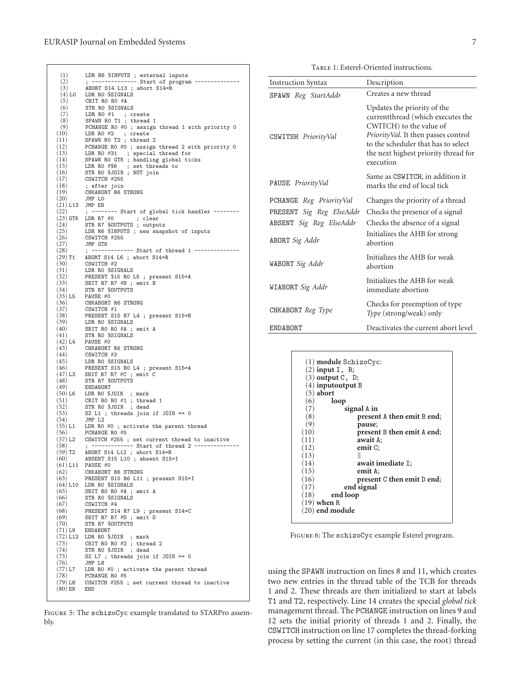| TABLE 1: Esterel-Oriented instructions. |  |
|-----------------------------------------|--|
|-----------------------------------------|--|

| (1)                  | LDR R6 \$INPUTS ; external inputs                                                                                                                                                                                                          |
|----------------------|--------------------------------------------------------------------------------------------------------------------------------------------------------------------------------------------------------------------------------------------|
| (2)                  | ; ------------- Start of program --------------                                                                                                                                                                                            |
| (3)<br>$(4)$ LO      | ABORT S14 L13 ; abort S14=R<br>LDR RO \$SIGNALS                                                                                                                                                                                            |
| (5)                  | CBIT RO RO #A                                                                                                                                                                                                                              |
| (6)                  | STR RO \$SIGNALS                                                                                                                                                                                                                           |
| (7)                  | LDR RO $#1$ ; create                                                                                                                                                                                                                       |
| (8)                  | SPAWN RO T1 ; thread 1                                                                                                                                                                                                                     |
| (9)                  | PCHANGE RO #O ; assign thread 1 with priority O                                                                                                                                                                                            |
| (10)<br>(11)         |                                                                                                                                                                                                                                            |
| (12)                 |                                                                                                                                                                                                                                            |
| (13)                 |                                                                                                                                                                                                                                            |
| (14)                 | DR RO #2 ; create<br>SPAWN RO T2 ; thread 2<br>PCHANGE RO #0 ; assign thread 2 with priority O<br>LDR RO #31 ; special thread for<br>SPAWN RO GTK ; handling global ticks                                                                  |
| (15)                 |                                                                                                                                                                                                                                            |
| (16)<br>(17)         | LDR RO #\$6 ; set threads to<br>STR RO \$JOIN ; NOT join<br>CSWITCH #255                                                                                                                                                                   |
| (18)                 | ; after join                                                                                                                                                                                                                               |
| (19)                 | CHKABORT R6 STRONG                                                                                                                                                                                                                         |
| (20)                 | JMP LO                                                                                                                                                                                                                                     |
| (21) L13 JMP EN      |                                                                                                                                                                                                                                            |
| (22)                 | ; ------- Start of global tick handler ------<br>$(23)$ GTK LDR R7 #0 ; clear                                                                                                                                                              |
| (24)                 |                                                                                                                                                                                                                                            |
| (25)                 | STR R7 \$0UTPUTS ; outputs<br>LDR R6 \$INPUTS ; new snapshot of inputs                                                                                                                                                                     |
| (26)                 | CSWITCH #255                                                                                                                                                                                                                               |
| (27)                 | JMP GTK                                                                                                                                                                                                                                    |
|                      | (28) ; ------------- Start of thread 1 ----<br>(29) T1 ABORT S14 L6 ; abort S14=R<br>(20) $\overline{C}$                                                                                                                                   |
| (30)                 |                                                                                                                                                                                                                                            |
| (31)                 |                                                                                                                                                                                                                                            |
| (32)                 |                                                                                                                                                                                                                                            |
| (33)<br>(34)         | CSWITCH #2<br>LDR RO \$SIGNALS<br>PRESENT \$15 RO L5 ; present S15=A<br>SBIT R7 R7 #B ; emit B<br>STR R7 \$00TPUTS<br>THR RT \$00TPUTS                                                                                                     |
|                      | $(35)$ L5 PAUSE #0<br>$(36)$ CHKABORT R6 STRONG                                                                                                                                                                                            |
|                      |                                                                                                                                                                                                                                            |
|                      |                                                                                                                                                                                                                                            |
|                      |                                                                                                                                                                                                                                            |
|                      |                                                                                                                                                                                                                                            |
|                      | (36) CHKABURI NO DIRECT 31<br>(37) CSWITCH #1<br>(38) PRESENT 315 R7 L4 ; present S15=B<br>(39) LDR RO \$SIGNALS<br>(40) SBIT RO RO #A ; emit A<br>(41) STR RO \$SIGNALS<br>(42) L4 PAUSE #0<br>(43) CHKABORT R6 STRONG<br>(44) CSWITCH #3 |
|                      |                                                                                                                                                                                                                                            |
|                      |                                                                                                                                                                                                                                            |
|                      | (44) CSWITCH #3<br>(45) LDR RO SSIGNALS<br>(46) PRESENT S15 RO L4 ; present S15=A<br>(47) L3 SBIT R7 R7 #C ; emit C<br>(48) STR R7 \$OUTPUTS                                                                                               |
|                      |                                                                                                                                                                                                                                            |
|                      |                                                                                                                                                                                                                                            |
|                      |                                                                                                                                                                                                                                            |
|                      |                                                                                                                                                                                                                                            |
|                      | (46) SIR K/SUOIPUIS<br>(50)L6 LDR RO \$JOIN ; mark<br>(51) CBIT RO RO #1 ; thread 1<br>(52) STR RO \$JOIN ; dead<br>(53) SZ L1 ; threads join if JOIN == 0<br>(53) SZ L1 ; threads join if JOIN == 0                                       |
|                      |                                                                                                                                                                                                                                            |
|                      |                                                                                                                                                                                                                                            |
| (54)                 | JMP L2                                                                                                                                                                                                                                     |
|                      |                                                                                                                                                                                                                                            |
|                      | (55)L1 LDR RO #0; activate the parent thread<br>(56) PCHANGE RO #5<br>(57)L2 CSWITCH #255; set current thread to inactive<br>(58) : ------------- Start of thread 2 -----------                                                            |
|                      |                                                                                                                                                                                                                                            |
| (60)                 | (59) T2 ABORT S14 L12 ; abort S14=R<br>(60) ABSENT S15 L10 ; absent S15<br>ABSENT S15 L10 ; absent S15=I                                                                                                                                   |
| (61) L11             | PAUSE #0                                                                                                                                                                                                                                   |
| (62)                 | CHKABORT R6 STRONG                                                                                                                                                                                                                         |
| (63)                 | PRESENT S15 R6 L11 ; present S15=I                                                                                                                                                                                                         |
|                      |                                                                                                                                                                                                                                            |
|                      | (64) L10 LDR RO \$SIGNALS                                                                                                                                                                                                                  |
| (65)<br>(66)         | SBIT RO RO #A ; emit A<br>STR RO \$SIGNALS                                                                                                                                                                                                 |
| (67)                 | CSWITCH #4                                                                                                                                                                                                                                 |
| (68)                 | PRESENT S14 R7 L9 ; present S14=C                                                                                                                                                                                                          |
| (69)                 | SBIT R7 R7 #D ; emit D                                                                                                                                                                                                                     |
| (70)<br>$(71)$ L9    | STR R7 \$0UTPUTS<br>ENDABORT                                                                                                                                                                                                               |
|                      | (72) L12 LDR RO \$JOIN<br>; mark                                                                                                                                                                                                           |
| (73)                 | CBIT RO RO #2 ; thread 2                                                                                                                                                                                                                   |
| (74)                 | STR RO \$JOIN ; dead                                                                                                                                                                                                                       |
| (75)<br>(76)         | SZ L7 ; threads join if JOIN == 0<br>JMP L8                                                                                                                                                                                                |
| $(77)$ L7            | LDR RO #0 ; activate the parent thread                                                                                                                                                                                                     |
| (78)                 | PCHANGE RO #5                                                                                                                                                                                                                              |
| (79) L8<br>$(80)$ EN | CSWITCH #255 ; set current thread to inactive<br>END                                                                                                                                                                                       |

Figure 5: The schizoCyc example translated to STARPro assembly.

| <b>Instruction Syntax</b> | Description                                                                                                                                                                                                                    |
|---------------------------|--------------------------------------------------------------------------------------------------------------------------------------------------------------------------------------------------------------------------------|
| SPAWN Reg StartAddr       | Creates a new thread                                                                                                                                                                                                           |
| CSWITSH PriorityVal       | Updates the priority of the<br>currentthread (which executes the<br>CWITCH) to the value of<br>PriorityVal. It then passes control<br>to the scheduler that has to select<br>the next highest priority thread for<br>execution |
| PAUSE PriorityVal         | Same as CSWITCH, in addition it<br>marks the end of local tick                                                                                                                                                                 |
| PCHANGE Reg PriorityVal   | Changes the priority of a thread                                                                                                                                                                                               |
| PRESENT Sig Reg ElseAddr  | Checks the presence of a signal                                                                                                                                                                                                |
| ABSENT Sig Reg ElseAddr   | Checks the absence of a signal                                                                                                                                                                                                 |
| <b>ABORT</b> Sig Addr     | Initializes the AHB for strong<br>abortion                                                                                                                                                                                     |
| WABORT Sig Addr           | Initializes the AHB for weak<br>abortion                                                                                                                                                                                       |
| WIABORT Sig Addr          | Initializes the AHB for weak<br>immediate abortion                                                                                                                                                                             |
| CHKABORT Reg Type         | Checks for preemption of type<br>Type (strong/weak) only                                                                                                                                                                       |
| ENDABORT                  | Deactivates the current abort level                                                                                                                                                                                            |



Figure 6: The schizoCyc example Esterel program.

using the SPAWN instruction on lines 8 and 11, which creates two new entries in the thread table of the TCB for threads 1 and 2. These threads are then initialized to start at labels T1 and T2, respectively. Line 14 creates the special *global tick* management thread. The PCHANGE instruction on lines 9 and 12 sets the initial priority of threads 1 and 2. Finally, the CSWITCH instruction on line 17 completes the thread-forking process by setting the current (in this case, the root) thread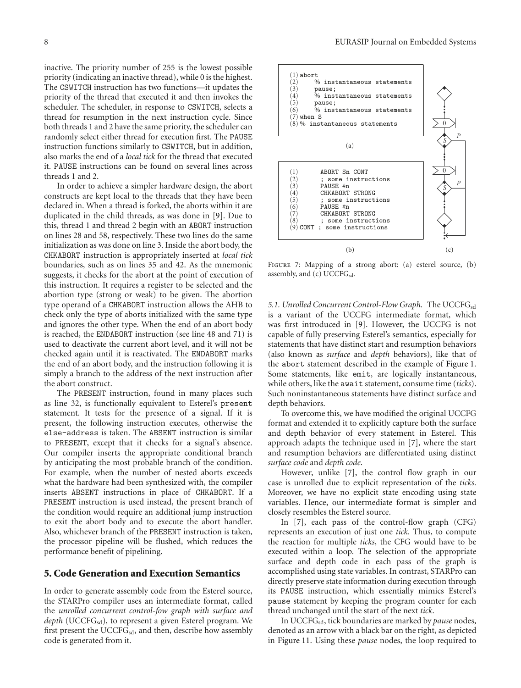inactive. The priority number of 255 is the lowest possible priority (indicating an inactive thread), while 0 is the highest. The CSWITCH instruction has two functions—it updates the priority of the thread that executed it and then invokes the scheduler. The scheduler, in response to CSWITCH, selects a thread for resumption in the next instruction cycle. Since both threads 1 and 2 have the same priority, the scheduler can randomly select either thread for execution first. The PAUSE instruction functions similarly to CSWITCH, but in addition, also marks the end of a *local tick* for the thread that executed it. PAUSE instructions can be found on several lines across threads 1 and 2.

In order to achieve a simpler hardware design, the abort constructs are kept local to the threads that they have been declared in. When a thread is forked, the aborts within it are duplicated in the child threads, as was done in [9]. Due to this, thread 1 and thread 2 begin with an ABORT instruction on lines 28 and 58, respectively. These two lines do the same initialization as was done on line 3. Inside the abort body, the CHKABORT instruction is appropriately inserted at *local tick* boundaries, such as on lines 35 and 42. As the mnemonic suggests, it checks for the abort at the point of execution of this instruction. It requires a register to be selected and the abortion type (strong or weak) to be given. The abortion type operand of a CHKABORT instruction allows the AHB to check only the type of aborts initialized with the same type and ignores the other type. When the end of an abort body is reached, the ENDABORT instruction (see line 48 and 71) is used to deactivate the current abort level, and it will not be checked again until it is reactivated. The ENDABORT marks the end of an abort body, and the instruction following it is simply a branch to the address of the next instruction after the abort construct.

The PRESENT instruction, found in many places such as line 32, is functionally equivalent to Esterel's present statement. It tests for the presence of a signal. If it is present, the following instruction executes, otherwise the else-address is taken. The ABSENT instruction is similar to PRESENT, except that it checks for a signal's absence. Our compiler inserts the appropriate conditional branch by anticipating the most probable branch of the condition. For example, when the number of nested aborts exceeds what the hardware had been synthesized with, the compiler inserts ABSENT instructions in place of CHKABORT. If a PRESENT instruction is used instead, the present branch of the condition would require an additional jump instruction to exit the abort body and to execute the abort handler. Also, whichever branch of the PRESENT instruction is taken, the processor pipeline will be flushed, which reduces the performance benefit of pipelining.

# **5. Code Generation and Execution Semantics**

In order to generate assembly code from the Esterel source, the STARPro compiler uses an intermediate format, called the *unrolled concurrent control-fow graph with surface and depth* (UCCFG<sub>sd</sub>), to represent a given Esterel program. We first present the UCCFG<sub>sd</sub>, and then, describe how assembly code is generated from it.



FIGURE 7: Mapping of a strong abort: (a) esterel source, (b) assembly, and (c) UCCFG<sub>sd</sub>.

5.1. Unrolled Concurrent Control-Flow Graph. The UCCFG<sub>sd</sub> is a variant of the UCCFG intermediate format, which was first introduced in [9]. However, the UCCFG is not capable of fully preserving Esterel's semantics, especially for statements that have distinct start and resumption behaviors (also known as *surface* and *depth* behaviors), like that of the abort statement described in the example of Figure 1. Some statements, like emit, are logically instantaneous, while others, like the await statement, consume time (*ticks*). Such noninstantaneous statements have distinct surface and depth behaviors.

To overcome this, we have modified the original UCCFG format and extended it to explicitly capture both the surface and depth behavior of every statement in Esterel. This approach adapts the technique used in [7], where the start and resumption behaviors are differentiated using distinct *surface code* and *depth code*.

However, unlike [7], the control flow graph in our case is unrolled due to explicit representation of the *ticks*. Moreover, we have no explicit state encoding using state variables. Hence, our intermediate format is simpler and closely resembles the Esterel source.

In [7], each pass of the control-flow graph (CFG) represents an execution of just one *tick*. Thus, to compute the reaction for multiple *ticks*, the CFG would have to be executed within a loop. The selection of the appropriate surface and depth code in each pass of the graph is accomplished using state variables. In contrast, STARPro can directly preserve state information during execution through its PAUSE instruction, which essentially mimics Esterel's pause statement by keeping the program counter for each thread unchanged until the start of the next *tick*.

In UCCFGsd, tick boundaries are marked by *pause* nodes, denoted as an arrow with a black bar on the right, as depicted in Figure 11. Using these *pause* nodes, the loop required to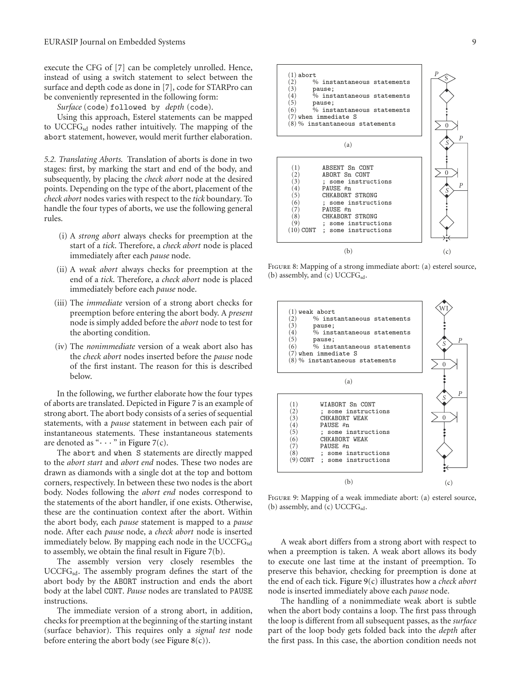execute the CFG of [7] can be completely unrolled. Hence, instead of using a switch statement to select between the surface and depth code as done in [7], code for STARPro can be conveniently represented in the following form:

*Surface* (code) followed by *depth* (code).

Using this approach, Esterel statements can be mapped to UCCFGsd nodes rather intuitively. The mapping of the abort statement, however, would merit further elaboration.

*5.2. Translating Aborts.* Translation of aborts is done in two stages: first, by marking the start and end of the body, and subsequently, by placing the *check abort* node at the desired points. Depending on the type of the abort, placement of the *check abort* nodes varies with respect to the *tick* boundary. To handle the four types of aborts, we use the following general rules.

- (i) A *strong abort* always checks for preemption at the start of a *tick*. Therefore, a *check abort* node is placed immediately after each *pause* node.
- (ii) A *weak abort* always checks for preemption at the end of a *tick*. Therefore, a *check abort* node is placed immediately before each *pause* node.
- (iii) The *immediate* version of a strong abort checks for preemption before entering the abort body. A *present* node is simply added before the *abort* node to test for the aborting condition.
- (iv) The *nonimmediate* version of a weak abort also has the *check abort* nodes inserted before the *pause* node of the first instant. The reason for this is described below.

In the following, we further elaborate how the four types of aborts are translated. Depicted in Figure 7 is an example of strong abort. The abort body consists of a series of sequential statements, with a *pause* statement in between each pair of instantaneous statements. These instantaneous statements are denoted as " $\cdots$ " in Figure 7(c).

The abort and when S statements are directly mapped to the *abort start* and *abort end* nodes. These two nodes are drawn as diamonds with a single dot at the top and bottom corners, respectively. In between these two nodes is the abort body. Nodes following the *abort end* nodes correspond to the statements of the abort handler, if one exists. Otherwise, these are the continuation context after the abort. Within the abort body, each *pause* statement is mapped to a *pause* node. After each *pause* node, a *check abort* node is inserted immediately below. By mapping each node in the UCCFG<sub>sd</sub> to assembly, we obtain the final result in Figure 7(b).

The assembly version very closely resembles the UCCFGsd. The assembly program defines the start of the abort body by the ABORT instruction and ends the abort body at the label CONT. *Pause* nodes are translated to PAUSE instructions.

The immediate version of a strong abort, in addition, checks for preemption at the beginning of the starting instant (surface behavior). This requires only a *signal test* node before entering the abort body (see Figure  $8(c)$ ).



 $(b)$ 

Figure 8: Mapping of a strong immediate abort: (a) esterel source, (b) assembly, and (c) UCCF $G_{sd}$ .



Figure 9: Mapping of a weak immediate abort: (a) esterel source, (b) assembly, and (c) UCCF $G_{sd}$ .

A weak abort differs from a strong abort with respect to when a preemption is taken. A weak abort allows its body to execute one last time at the instant of preemption. To preserve this behavior, checking for preemption is done at the end of each tick. Figure 9(c) illustrates how a *check abort* node is inserted immediately above each *pause* node.

The handling of a nonimmediate weak abort is subtle when the abort body contains a loop. The first pass through the loop is different from all subsequent passes, as the *surface* part of the loop body gets folded back into the *depth* after the first pass. In this case, the abortion condition needs not

(c)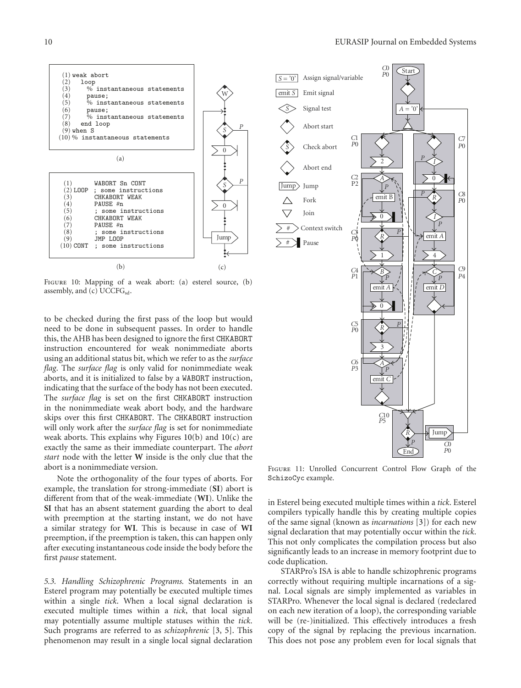

Figure 10: Mapping of a weak abort: (a) esterel source, (b) assembly, and (c) UCCFG<sub>sd</sub>.

to be checked during the first pass of the loop but would need to be done in subsequent passes. In order to handle this, the AHB has been designed to ignore the first CHKABORT instruction encountered for weak nonimmediate aborts using an additional status bit, which we refer to as the *surface flag*. The *surface flag* is only valid for nonimmediate weak aborts, and it is initialized to false by a WABORT instruction, indicating that the surface of the body has not been executed. The *surface flag* is set on the first CHKABORT instruction in the nonimmediate weak abort body, and the hardware skips over this first CHKABORT. The CHKABORT instruction will only work after the *surface flag* is set for nonimmediate weak aborts. This explains why Figures  $10(b)$  and  $10(c)$  are exactly the same as their immediate counterpart. The *abort start* node with the letter **W** inside is the only clue that the abort is a nonimmediate version.

Note the orthogonality of the four types of aborts. For example, the translation for strong-immediate (**SI**) abort is different from that of the weak-immediate (**WI**). Unlike the **SI** that has an absent statement guarding the abort to deal with preemption at the starting instant, we do not have a similar strategy for **WI**. This is because in case of **WI** preemption, if the preemption is taken, this can happen only after executing instantaneous code inside the body before the first *pause* statement.

*5.3. Handling Schizophrenic Programs.* Statements in an Esterel program may potentially be executed multiple times within a single *tick*. When a local signal declaration is executed multiple times within a *tick*, that local signal may potentially assume multiple statuses within the *tick*. Such programs are referred to as *schizophrenic* [3, 5]. This phenomenon may result in a single local signal declaration



Figure 11: Unrolled Concurrent Control Flow Graph of the SchizoCyc example.

in Esterel being executed multiple times within a *tick*. Esterel compilers typically handle this by creating multiple copies of the same signal (known as *incarnations* [3]) for each new signal declaration that may potentially occur within the *tick*. This not only complicates the compilation process but also significantly leads to an increase in memory footprint due to code duplication.

STARPro's ISA is able to handle schizophrenic programs correctly without requiring multiple incarnations of a signal. Local signals are simply implemented as variables in STARPro. Whenever the local signal is declared (redeclared on each new iteration of a loop), the corresponding variable will be (re-)initialized. This effectively introduces a fresh copy of the signal by replacing the previous incarnation. This does not pose any problem even for local signals that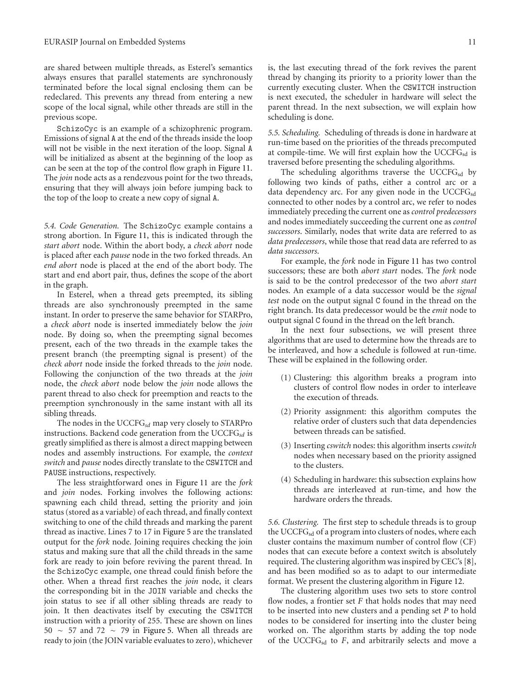are shared between multiple threads, as Esterel's semantics always ensures that parallel statements are synchronously terminated before the local signal enclosing them can be redeclared. This prevents any thread from entering a new scope of the local signal, while other threads are still in the previous scope.

SchizoCyc is an example of a schizophrenic program. Emissions of signal A at the end of the threads inside the loop will not be visible in the next iteration of the loop. Signal A will be initialized as absent at the beginning of the loop as can be seen at the top of the control flow graph in Figure 11. The *join* node acts as a rendezvous point for the two threads, ensuring that they will always join before jumping back to the top of the loop to create a new copy of signal A.

*5.4. Code Generation.* The SchizoCyc example contains a strong abortion. In Figure 11, this is indicated through the *start abort* node. Within the abort body, a *check abort* node is placed after each *pause* node in the two forked threads. An *end abort* node is placed at the end of the abort body. The start and end abort pair, thus, defines the scope of the abort in the graph.

In Esterel, when a thread gets preempted, its sibling threads are also synchronously preempted in the same instant. In order to preserve the same behavior for STARPro, a *check abort* node is inserted immediately below the *join* node. By doing so, when the preempting signal becomes present, each of the two threads in the example takes the present branch (the preempting signal is present) of the *check abort* node inside the forked threads to the *join* node. Following the conjunction of the two threads at the *join* node, the *check abort* node below the *join* node allows the parent thread to also check for preemption and reacts to the preemption synchronously in the same instant with all its sibling threads.

The nodes in the UCCFG*sd* map very closely to STARPro instructions. Backend code generation from the UCCFG*sd* is greatly simplified as there is almost a direct mapping between nodes and assembly instructions. For example, the *context switch* and *pause* nodes directly translate to the CSWITCH and PAUSE instructions, respectively.

The less straightforward ones in Figure 11 are the *fork* and *join* nodes. Forking involves the following actions: spawning each child thread, setting the priority and join status (stored as a variable) of each thread, and finally context switching to one of the child threads and marking the parent thread as inactive. Lines 7 to 17 in Figure 5 are the translated output for the *fork* node. Joining requires checking the join status and making sure that all the child threads in the same fork are ready to join before reviving the parent thread. In the SchizoCyc example, one thread could finish before the other. When a thread first reaches the *join* node, it clears the corresponding bit in the JOIN variable and checks the join status to see if all other sibling threads are ready to join. It then deactivates itself by executing the CSWITCH instruction with a priority of 255. These are shown on lines 50 ∼ 57 and 72 ∼ 79 in Figure 5. When all threads are ready to join (the JOIN variable evaluates to zero), whichever

is, the last executing thread of the fork revives the parent thread by changing its priority to a priority lower than the currently executing cluster. When the CSWITCH instruction is next executed, the scheduler in hardware will select the parent thread. In the next subsection, we will explain how scheduling is done.

*5.5. Scheduling.* Scheduling of threads is done in hardware at run-time based on the priorities of the threads precomputed at compile-time. We will first explain how the UCCF $G_{sd}$  is traversed before presenting the scheduling algorithms.

The scheduling algorithms traverse the UCCF $G_{sd}$  by following two kinds of paths, either a control arc or a data dependency arc. For any given node in the UCCF $G_{sd}$ connected to other nodes by a control arc, we refer to nodes immediately preceding the current one as *control predecessors* and nodes immediately succeeding the current one as *control successors*. Similarly, nodes that write data are referred to as *data predecessors*, while those that read data are referred to as *data successors*.

For example, the *fork* node in Figure 11 has two control successors; these are both *abort start* nodes. The *fork* node is said to be the control predecessor of the two *abort start* nodes. An example of a data successor would be the *signal test* node on the output signal C found in the thread on the right branch. Its data predecessor would be the *emit* node to output signal C found in the thread on the left branch.

In the next four subsections, we will present three algorithms that are used to determine how the threads are to be interleaved, and how a schedule is followed at run-time. These will be explained in the following order.

- (1) Clustering: this algorithm breaks a program into clusters of control flow nodes in order to interleave the execution of threads.
- (2) Priority assignment: this algorithm computes the relative order of clusters such that data dependencies between threads can be satisfied.
- (3) Inserting *cswitch* nodes: this algorithm inserts *cswitch* nodes when necessary based on the priority assigned to the clusters.
- (4) Scheduling in hardware: this subsection explains how threads are interleaved at run-time, and how the hardware orders the threads.

*5.6. Clustering.* The first step to schedule threads is to group the UCCF $G_{sd}$  of a program into clusters of nodes, where each cluster contains the maximum number of control flow (CF) nodes that can execute before a context switch is absolutely required. The clustering algorithm was inspired by CEC's [8], and has been modified so as to adapt to our intermediate format. We present the clustering algorithm in Figure 12.

The clustering algorithm uses two sets to store control flow nodes, a frontier set *F* that holds nodes that may need to be inserted into new clusters and a pending set *P* to hold nodes to be considered for inserting into the cluster being worked on. The algorithm starts by adding the top node of the UCCFG<sub>sd</sub> to *F*, and arbitrarily selects and move a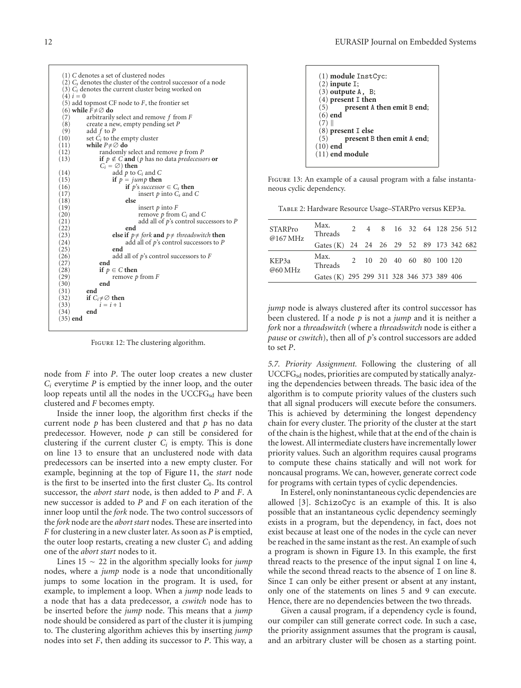|             | (1) C denotes a set of clustered nodes<br>$(2)$ C <sub>s</sub> denotes the cluster of the control successor of a node<br>$(3)$ C <sub>i</sub> denotes the current cluster being worked on |
|-------------|-------------------------------------------------------------------------------------------------------------------------------------------------------------------------------------------|
| $(4) i = 0$ |                                                                                                                                                                                           |
|             | $(5)$ add topmost CF node to F, the frontier set                                                                                                                                          |
|             | (6) while $F \neq \emptyset$ do                                                                                                                                                           |
| (7)         | arbitrarily select and remove $f$ from $F$                                                                                                                                                |
| (8)         | create a new, empty pending set $P$                                                                                                                                                       |
| (9)         | add $f$ to $P$                                                                                                                                                                            |
| (10)        | set $C_i$ to the empty cluster                                                                                                                                                            |
| (11)        | while $P \neq \emptyset$ do                                                                                                                                                               |
| (12)        | randomly select and remove $p$ from $P$                                                                                                                                                   |
| (13)        | <b>if</b> $p \notin C$ and (p has no data predecessors or                                                                                                                                 |
|             | $C_i = \emptyset$ ) then                                                                                                                                                                  |
| (14)        | add $p$ to $C_i$ and $C$                                                                                                                                                                  |
| (15)        | if $p = jump$ then                                                                                                                                                                        |
| (16)        | if p's successor $\in C_s$ then                                                                                                                                                           |
| (17)        | insert $p$ into $C_s$ and $C_s$                                                                                                                                                           |
| (18)        | else                                                                                                                                                                                      |
| (19)        | insert $p$ into $F$                                                                                                                                                                       |
| (20)        | remove p from $C_i$ and C                                                                                                                                                                 |
| (21)        | add all of $p$ 's control successors to $P$                                                                                                                                               |
| (22)        | end                                                                                                                                                                                       |
| (23)        | else if $p \neq$ fork and $p \neq$ threadswitch then                                                                                                                                      |
| (24)        | add all of $p$ 's control successors to P                                                                                                                                                 |
| (25)        | end                                                                                                                                                                                       |
| (26)        | add all of $p$ 's control successors to F                                                                                                                                                 |
| (27)        | end                                                                                                                                                                                       |
| (28)        | if $p \in C$ then                                                                                                                                                                         |
| (29)        | remove $p$ from $F$                                                                                                                                                                       |
| (30)        | end                                                                                                                                                                                       |
| (31)        | end                                                                                                                                                                                       |
| (32)        | if $C_i \neq \emptyset$ then                                                                                                                                                              |
| (33)        | $i = i + 1$                                                                                                                                                                               |
| (34)        | end                                                                                                                                                                                       |
| $(35)$ end  |                                                                                                                                                                                           |

FIGURE 12: The clustering algorithm.

node from *F* into *P*. The outer loop creates a new cluster *Ci* everytime *P* is emptied by the inner loop, and the outer loop repeats until all the nodes in the  $\text{UCCFG}_{sd}$  have been clustered and *F* becomes empty.

Inside the inner loop, the algorithm first checks if the current node *p* has been clustered and that *p* has no data predecessor. However, node *p* can still be considered for clustering if the current cluster *Ci* is empty. This is done on line 13 to ensure that an unclustered node with data predecessors can be inserted into a new empty cluster. For example, beginning at the top of Figure 11, the *start* node is the first to be inserted into the first cluster *C*0. Its control successor, the *abort start* node, is then added to *P* and *F*. A new successor is added to *P* and *F* on each iteration of the inner loop until the *fork* node. The two control successors of the *fork* node are the *abort start* nodes. These are inserted into *F* for clustering in a new cluster later. As soon as *P* is emptied, the outer loop restarts, creating a new cluster  $C_1$  and adding one of the *abort start* nodes to it.

Lines 15 ∼ 22 in the algorithm specially looks for *jump* nodes, where a *jump* node is a node that unconditionally jumps to some location in the program. It is used, for example, to implement a loop. When a *jump* node leads to a node that has a data predecessor, a *cswitch* node has to be inserted before the *jump* node. This means that a *jump* node should be considered as part of the cluster it is jumping to. The clustering algorithm achieves this by inserting *jump* nodes into set *F*, then adding its successor to *P*. This way, a

| $(1)$ module InstCyc:             |
|-----------------------------------|
| $(2)$ inpute I;                   |
| $(3)$ outpute A, B;               |
| $(4)$ present I then              |
| present A then emit B end;<br>(5) |
| $(6)$ end                         |
| $(7)$                             |
| $(8)$ present I else              |
| present B then emit A end;<br>(5) |
| $(10)$ end                        |
| $(11)$ end module                 |
|                                   |

Figure 13: An example of a causal program with a false instantaneous cyclic dependency.

Table 2: Hardware Resource Usage–STARPro versus KEP3a.

| STARPro<br>$@167 \text{ MHz}$          | Max.<br>Threads                           |  | 2 4 8 16 32 64 128 256 512 |  |  |  |
|----------------------------------------|-------------------------------------------|--|----------------------------|--|--|--|
|                                        | Gates (K) 24 24 26 29 52 89 173 342 682   |  |                            |  |  |  |
| KEP <sub>3a</sub><br>$@60 \text{ MHz}$ | Max.<br>Threads                           |  | 2 10 20 40 60 80 100 120   |  |  |  |
|                                        | Gates (K) 295 299 311 328 346 373 389 406 |  |                            |  |  |  |

*jump* node is always clustered after its control successor has been clustered. If a node *p* is not a *jump* and it is neither a *fork* nor a *threadswitch* (where a *threadswitch* node is either a *pause* or *cswitch*), then all of *p*'s control successors are added to set *P*.

*5.7. Priority Assignment.* Following the clustering of all  $UCCFG<sub>sd</sub> nodes, priorities are computed by statistically analyz$ ing the dependencies between threads. The basic idea of the algorithm is to compute priority values of the clusters such that all signal producers will execute before the consumers. This is achieved by determining the longest dependency chain for every cluster. The priority of the cluster at the start of the chain is the highest, while that at the end of the chain is the lowest. All intermediate clusters have incrementally lower priority values. Such an algorithm requires causal programs to compute these chains statically and will not work for noncausal programs. We can, however, generate correct code for programs with certain types of cyclic dependencies.

In Esterel, only noninstantaneous cyclic dependencies are allowed [3]. SchizoCyc is an example of this. It is also possible that an instantaneous cyclic dependency seemingly exists in a program, but the dependency, in fact, does not exist because at least one of the nodes in the cycle can never be reached in the same instant as the rest. An example of such a program is shown in Figure 13. In this example, the first thread reacts to the presence of the input signal I on line 4, while the second thread reacts to the absence of I on line 8. Since I can only be either present or absent at any instant, only one of the statements on lines 5 and 9 can execute. Hence, there are no dependencies between the two threads.

Given a causal program, if a dependency cycle is found, our compiler can still generate correct code. In such a case, the priority assignment assumes that the program is causal, and an arbitrary cluster will be chosen as a starting point.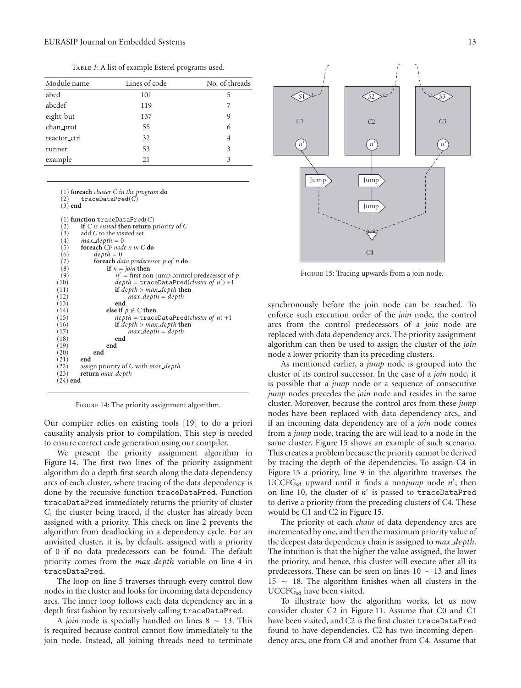Table 3: A list of example Esterel programs used.

| Module name  | Lines of code | No. of threads |
|--------------|---------------|----------------|
| abcd         | 101           | 5              |
| abcdef       | 119           |                |
| eight_but    | 137           | 9              |
| chan_prot    | 55            | 6              |
| reactor_ctrl | 32            | 4              |
| runner       | 53            | 3              |
| example      | 21            | 3              |

| (2)<br>$(3)$ end | $(1)$ foreach cluster C in the program do<br>traceDataPred(C) |
|------------------|---------------------------------------------------------------|
|                  | $(1)$ function traceDataPred $(C)$                            |
| (2)              | if C is visited then return priority of C                     |
| (3)              | add C to the visited set                                      |
| (4)              | $max\_depth = 0$                                              |
| (5)              | foreach CF node n in C do                                     |
| (6)              | $depth = 0$                                                   |
| (7)              | <b>foreach</b> data predecessor $p$ of $n$ <b>do</b>          |
| (8)              | if $n = join$ then                                            |
| (9)              | $n'$ = first non-jump control predecessor of p                |
| (10)             | $depth = \texttt{traceDataPred}(cluster \text{ of } n') + 1$  |
| (11)             | if $depth > max\_depth$ then                                  |
| (12)             | $max\_depth = depth$                                          |
| (13)             | end                                                           |
| (14)             | else if $p \notin C$ then                                     |
| (15)             | $depth = \texttt{traceDataPred}(cluster of n) + 1$            |
| (16)             | if $depth > max$ depth then                                   |
| (17)             | $max\_depth = depth$                                          |
| (18)             | end                                                           |
| (19)             | end                                                           |
| (20)             | end                                                           |
| (21)             | end                                                           |
| (22)             | assign priority of C with <i>max_depth</i>                    |
| (23)             | return <i>max_depth</i>                                       |
| $(24)$ end       |                                                               |

FIGURE 14: The priority assignment algorithm.

Our compiler relies on existing tools [19] to do a priori causality analysis prior to compilation. This step is needed to ensure correct code generation using our compiler.

We present the priority assignment algorithm in Figure 14. The first two lines of the priority assignment algorithm do a depth first search along the data dependency arcs of each cluster, where tracing of the data dependency is done by the recursive function traceDataPred. Function traceDataPred immediately returns the priority of cluster *C*, the cluster being traced, if the cluster has already been assigned with a priority. This check on line 2 prevents the algorithm from deadlocking in a dependency cycle. For an unvisited cluster, it is, by default, assigned with a priority of 0 if no data predecessors can be found. The default priority comes from the *max depth* variable on line 4 in traceDataPred.

The loop on line 5 traverses through every control flow nodes in the cluster and looks for incoming data dependency arcs. The inner loop follows each data dependency arc in a depth first fashion by recursively calling traceDataPred.

A *join* node is specially handled on lines 8 ∼ 13. This is required because control cannot flow immediately to the join node. Instead, all joining threads need to terminate



Figure 15: Tracing upwards from a join node.

synchronously before the join node can be reached. To enforce such execution order of the *join* node, the control arcs from the control predecessors of a *join* node are replaced with data dependency arcs. The priority assignment algorithm can then be used to assign the cluster of the *join* node a lower priority than its preceding clusters.

As mentioned earlier, a *jump* node is grouped into the cluster of its control successor. In the case of a *join* node, it is possible that a *jump* node or a sequence of consecutive *jump* nodes precedes the *join* node and resides in the same cluster. Moreover, because the control arcs from these *jump* nodes have been replaced with data dependency arcs, and if an incoming data dependency arc of a *join* node comes from a *jump* node, tracing the arc will lead to a node in the same cluster. Figure 15 shows an example of such scenario. This creates a problem because the priority cannot be derived by tracing the depth of the dependencies. To assign C4 in Figure 15 a priority, line 9 in the algorithm traverses the UCCFGsd upward until it finds a non*jump* node *n* ; then on line 10, the cluster of *n'* is passed to traceDataPred to derive a priority from the preceding clusters of C4. These would be C1 and C2 in Figure 15.

The priority of each *chain* of data dependency arcs are incremented by one, and then the maximum priority value of the deepest data dependency chain is assigned to *max depth*. The intuition is that the higher the value assigned, the lower the priority, and hence, this cluster will execute after all its predecessors. These can be seen on lines 10 ∼ 13 and lines 15 ∼ 18. The algorithm finishes when all clusters in the UCCFG<sub>sd</sub> have been visited.

To illustrate how the algorithm works, let us now consider cluster C2 in Figure 11. Assume that C0 and C1 have been visited, and C2 is the first cluster traceDataPred found to have dependencies. C2 has two incoming dependency arcs, one from C8 and another from C4. Assume that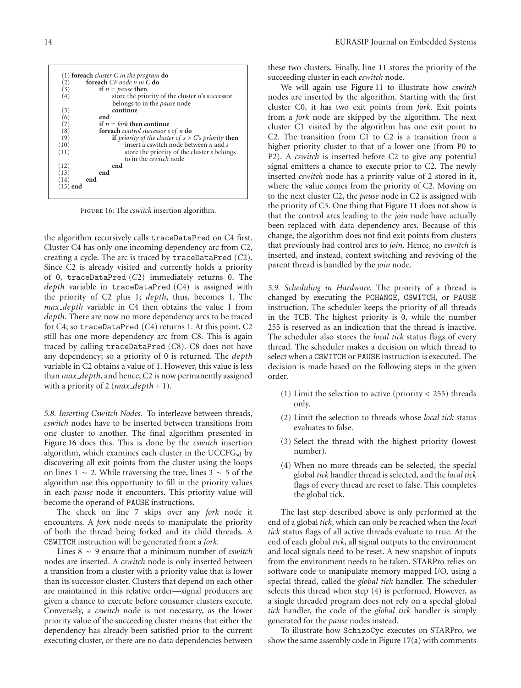Figure 16: The *cswitch* insertion algorithm.

the algorithm recursively calls traceDataPred on C4 first. Cluster C4 has only one incoming dependency arc from C2, creating a cycle. The arc is traced by traceDataPred (*C*2). Since C2 is already visited and currently holds a priority of 0, traceDataPred (*C*2) immediately returns 0. The *depth* variable in traceDataPred (*C*4) is assigned with the priority of C2 plus 1; *depth*, thus, becomes 1. The *max depth* variable in C4 then obtains the value 1 from *depth*. There are now no more dependency arcs to be traced for C4; so traceDataPred (*C*4) returns 1. At this point, C2 still has one more dependency arc from C8. This is again traced by calling traceDataPred (*C*8). C8 does not have any dependency; so a priority of 0 is returned. The *depth* variable in C2 obtains a value of 1. However, this value is less than *max depth*, and hence, C2 is now permanently assigned with a priority of 2 ( $max\_\text{depth} + 1$ ).

*5.8. Inserting Cswitch Nodes.* To interleave between threads, *cswitch* nodes have to be inserted between transitions from one cluster to another. The final algorithm presented in Figure 16 does this. This is done by the *cswitch* insertion algorithm, which examines each cluster in the UCCFGsd by discovering all exit points from the cluster using the loops on lines 1 ∼ 2. While traversing the tree, lines 3 ∼ 5 of the algorithm use this opportunity to fill in the priority values in each *pause* node it encounters. This priority value will become the operand of PAUSE instructions.

The check on line 7 skips over any *fork* node it encounters. A *fork* node needs to manipulate the priority of both the thread being forked and its child threads. A CSWITCH instruction will be generated from a *fork*.

Lines 8 ∼ 9 ensure that a minimum number of *cswitch* nodes are inserted. A *cswitch* node is only inserted between a transition from a cluster with a priority value that is lower than its successor cluster. Clusters that depend on each other are maintained in this relative order—signal producers are given a chance to execute before consumer clusters execute. Conversely, a *cswitch* node is not necessary, as the lower priority value of the succeeding cluster means that either the dependency has already been satisfied prior to the current executing cluster, or there are no data dependencies between these two clusters. Finally, line 11 stores the priority of the succeeding cluster in each *cswitch* node.

We will again use Figure 11 to illustrate how *cswitch* nodes are inserted by the algorithm. Starting with the first cluster C0, it has two exit points from *fork*. Exit points from a *fork* node are skipped by the algorithm. The next cluster C1 visited by the algorithm has one exit point to C2. The transition from C1 to C2 is a transition from a higher priority cluster to that of a lower one (from P0 to P2). A *cswitch* is inserted before C2 to give any potential signal emitters a chance to execute prior to C2. The newly inserted *cswitch* node has a priority value of 2 stored in it, where the value comes from the priority of C2. Moving on to the next cluster C2, the *pause* node in C2 is assigned with the priority of C3. One thing that Figure 11 does not show is that the control arcs leading to the *join* node have actually been replaced with data dependency arcs. Because of this change, the algorithm does not find exit points from clusters that previously had control arcs to *join*. Hence, no *cswitch* is inserted, and instead, context switching and reviving of the parent thread is handled by the *join* node.

*5.9. Scheduling in Hardware.* The priority of a thread is changed by executing the PCHANGE, CSWITCH, or PAUSE instruction. The scheduler keeps the priority of all threads in the TCB. The highest priority is 0, while the number 255 is reserved as an indication that the thread is inactive. The scheduler also stores the *local tick* status flags of every thread. The scheduler makes a decision on which thread to select when a CSWITCH or PAUSE instruction is executed. The decision is made based on the following steps in the given order.

- (1) Limit the selection to active (priority *<* 255) threads only.
- (2) Limit the selection to threads whose *local tick* status evaluates to false.
- (3) Select the thread with the highest priority (lowest number).
- (4) When no more threads can be selected, the special global *tick* handler thread is selected, and the *local tick* flags of every thread are reset to false. This completes the global tick.

The last step described above is only performed at the end of a global *tick*, which can only be reached when the *local tick* status flags of all active threads evaluate to true. At the end of each global *tick*, all signal outputs to the environment and local signals need to be reset. A new snapshot of inputs from the environment needs to be taken. STARPro relies on software code to manipulate memory mapped I/O, using a special thread, called the *global tick* handler. The scheduler selects this thread when step (4) is performed. However, as a single threaded program does not rely on a special global *tick* handler, the code of the *global tick* handler is simply generated for the *pause* nodes instead.

To illustrate how SchizoCyc executes on STARPro, we show the same assembly code in Figure 17(a) with comments

|              | $(1)$ foreach cluster C in the program do               |
|--------------|---------------------------------------------------------|
| (2)          | foreach $CF$ node $n$ in $C$ do                         |
| (3)          | if $n = pause$ then                                     |
| (4)          | store the priority of the cluster <i>n</i> 's successor |
|              | belongs to in the <i>pause</i> node                     |
| (5)          | continue                                                |
| 6            | end                                                     |
| '7'          | if $n =$ fork then continue                             |
| (8)          | <b>foreach</b> control successor s of n <b>do</b>       |
| (9)          | if priority of the cluster of $s > C$ 's priority then  |
| $10^{\circ}$ | insert a cswitch node between <i>n</i> and <i>s</i>     |
| 11)          | store the priority of the cluster s belongs             |
|              | to in the <i>cswitch</i> node                           |
| (12)         | end                                                     |
| (13)         | end                                                     |
| 14)          | end                                                     |
| end          |                                                         |
|              |                                                         |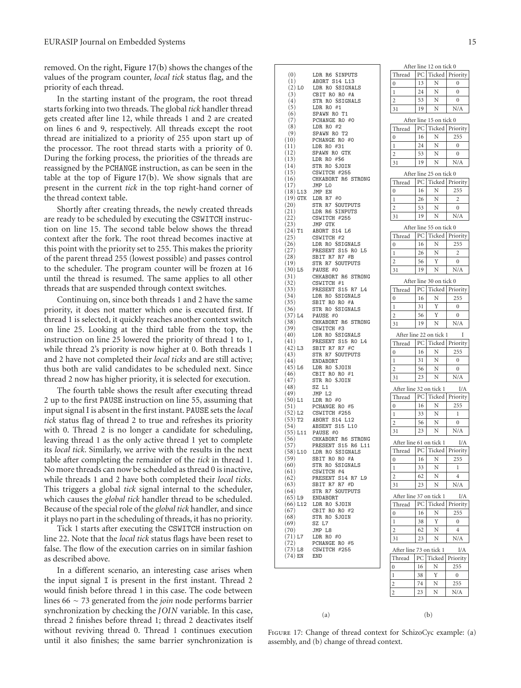removed. On the right, Figure 17(b) shows the changes of the values of the program counter, *local tick* status flag, and the priority of each thread.

In the starting instant of the program, the root thread starts forking into two threads. The global *tick* handler thread gets created after line 12, while threads 1 and 2 are created on lines 6 and 9, respectively. All threads except the root thread are initialized to a priority of 255 upon start up of the processor. The root thread starts with a priority of 0. During the forking process, the priorities of the threads are reassigned by the PCHANGE instruction, as can be seen in the table at the top of Figure 17(b). We show signals that are present in the current *tick* in the top right-hand corner of the thread context table.

Shortly after creating threads, the newly created threads are ready to be scheduled by executing the CSWITCH instruction on line 15. The second table below shows the thread context after the fork. The root thread becomes inactive at this point with the priority set to 255. This makes the priority of the parent thread 255 (lowest possible) and passes control to the scheduler. The program counter will be frozen at 16 until the thread is resumed. The same applies to all other threads that are suspended through context switches.

Continuing on, since both threads 1 and 2 have the same priority, it does not matter which one is executed first. If thread 1 is selected, it quickly reaches another context switch on line 25. Looking at the third table from the top, the instruction on line 25 lowered the priority of thread 1 to 1, while thread 2's priority is now higher at 0. Both threads 1 and 2 have not completed their *local ticks* and are still active; thus both are valid candidates to be scheduled next. Since thread 2 now has higher priority, it is selected for execution.

The fourth table shows the result after executing thread 2 up to the first PAUSE instruction on line 55, assuming that input signal I is absent in the first instant. PAUSE sets the *local tick* status flag of thread 2 to true and refreshes its priority with 0. Thread 2 is no longer a candidate for scheduling, leaving thread 1 as the only active thread 1 yet to complete its *local tick*. Similarly, we arrive with the results in the next table after completing the remainder of the *tick* in thread 1. No more threads can now be scheduled as thread 0 is inactive, while threads 1 and 2 have both completed their *local ticks*. This triggers a global *tick* signal internal to the scheduler, which causes the *global tick* handler thread to be scheduled. Because of the special role of the *global tick* handler, and since it plays no part in the scheduling of threads, it has no priority.

Tick 1 starts after executing the CSWITCH instruction on line 22. Note that the *local tick* status flags have been reset to false. The flow of the execution carries on in similar fashion as described above.

In a different scenario, an interesting case arises when the input signal I is present in the first instant. Thread 2 would finish before thread 1 in this case. The code between lines 66 ∼ 73 generated from the *join* node performs barrier synchronization by checking the *JOIN* variable. In this case, thread 2 finishes before thread 1; thread 2 deactivates itself without reviving thread 0. Thread 1 continues execution until it also finishes; the same barrier synchronization is

|                                     |                                                 |                          |    | After line 12 on tick 0 |                     |
|-------------------------------------|-------------------------------------------------|--------------------------|----|-------------------------|---------------------|
| (0)                                 | LDR R6 \$INPUTS                                 | Thread                   | PC | Ticked                  | Priori              |
| (1)                                 | ABORT S14 L13                                   | $\overline{0}$           | 13 | N                       | 0                   |
| $(2)$ LO<br>(3)                     | LDR RO \$SIGNALS<br>CBIT RO RO #A               | 1                        | 24 | N                       | $\boldsymbol{0}$    |
| (4)                                 | STR RO \$SIGNALS                                | $\overline{c}$           | 53 | N                       | $\mathbf{0}$        |
| (5)                                 | LDR RO $#1$                                     | 31                       | 19 | N                       | N/A                 |
| (6)                                 | SPAWN RO T1                                     |                          |    | After line 15 on tick 0 |                     |
| (7)<br>(8)                          | PCHANGE RO #0<br>LDR RO #2                      |                          | PС | Ticked Priori           |                     |
| (9)                                 | SPAWN RO T2                                     | Thread<br>$\overline{0}$ | 16 | N                       | 255                 |
| (10)                                | PCHANGE RO #0                                   |                          | 24 | N                       | 0                   |
| (11)<br>(12)                        | LDR RO #31<br>SPAWN RO GTK                      | 1                        |    |                         |                     |
| (13)                                | LDR RO #\$6                                     | 2                        | 53 | Ν<br>N                  | $\mathbf{0}$<br>N/A |
| (14)                                | STR RO \$JOIN                                   | 31                       | 19 |                         |                     |
| (15)<br>(16)                        | CSWITCH #255<br>CHKABORT R6 STRONG              |                          |    | After line 25 on tick 0 |                     |
| (17)                                | JMP LO                                          | Thread                   | PC | Ticked Priori           |                     |
| $(18)$ L <sub>13</sub>              | JMP EN                                          | $\mathbf{0}$             | 16 | N                       | 255                 |
| $(19)$ GTK<br>(20)                  | LDR R7 #0<br>STR R7 \$OUTPUTS                   | 1                        | 26 | N                       | 2                   |
| (21)                                | LDR R6 \$INPUTS                                 | 2                        | 53 | N                       | $\boldsymbol{0}$    |
| (22)                                | CSWITCH #255                                    | 31                       | 19 | N                       | N/A                 |
| (23)                                | JMP GTK<br>ABORT S14 L6                         |                          |    | After line 55 on tick 0 |                     |
| $(24)$ T1<br>(25)                   | CSWITCH #2                                      | Thread                   | PС | Ticked                  | Priori              |
| (26)                                | LDR RO \$SIGNALS                                | $\mathbf{0}$             | 16 | N                       | 255                 |
| (27)                                | PRESENT S15 RO L5                               | 1                        | 26 | N                       | $\overline{c}$      |
| (28)<br>(19)                        | SBIT R7 R7 #B<br>STR R7 \$OUTPUTS               | $\overline{c}$           | 56 | Y                       | 0                   |
| $(30)$ L5                           | PAUSE #0                                        | 31                       | 19 | N                       | N/A                 |
| (31)                                | CHKABORT R6 STRONG                              |                          |    | After line 30 on tick 0 |                     |
| (32)<br>(33)                        | CSWITCH #1<br>PRESENT S15 R7 L4                 | Thread                   | PС | Ticked                  | Priori              |
| (34)                                | LDR RO \$SIGNALS                                | 0                        | 16 | N                       | 255                 |
| (35)                                | SBIT RO RO #A                                   | 1                        | 31 | Υ                       | 0                   |
| (36)<br>(37) L4                     | STR RO \$SIGNALS<br>PAUSE #0                    | $\overline{2}$           | 56 | Y                       | 0                   |
| (38)                                | CHKABORT R6 STRONG                              | 31                       | 19 | N                       | N/A                 |
| (39)                                | CSWITCH #3                                      |                          |    |                         |                     |
| (40)<br>(41)                        | LDR RO \$SIGNALS<br>PRESENT S15 RO L4           |                          |    | After line 22 on tick 1 | I                   |
| $(42)$ L3                           | SBIT R7 R7 #C                                   | Thread                   | PC | Ticked                  | Priori              |
| (43)                                | STR R7 \$OUTPUTS                                | $\overline{0}$           | 16 | N                       | 255                 |
| (44)<br>$(45)$ L6                   | ENDABORT<br>LDR RO \$JOIN                       | 1                        | 31 | N                       | 0                   |
| (46)                                | CBIT RO RO #1                                   | $\overline{2}$           | 56 | N                       | $\mathbf{0}$        |
| (47)                                | STR RO \$JOIN                                   | 31                       | 23 | N                       | N/A                 |
| (48)                                | SZ L1<br>JMP L2                                 | After line 32 on tick 1  |    |                         | I/                  |
| (49)<br>$(50)$ L1                   | LDR RO #0                                       | Thread                   | PС | Ticked                  | Priori              |
| (51)                                | PCHANGE RO #5                                   | 0                        | 16 | Ν                       | 255                 |
| $(52)$ L <sub>2</sub>               | CSWITCH #255<br>ABORT S14 L12                   | 1                        | 33 | Ν                       | 1                   |
| $(53)$ T2<br>(54)                   | ABSENT S15 L10                                  | $\overline{c}$           | 56 | Ν                       | 0                   |
| (55) L11                            | PAUSE #0                                        | 31                       | 23 | N                       | N/A                 |
| (56)                                | CHKABORT R6 STRONG                              | After line 61 on tick 1  |    |                         | I/                  |
| (57)                                | PRESENT S15 R6 L11<br>(58) L10 LDR RO \$SIGNALS | Thread PC Ticked Priori  |    |                         |                     |
| (59)                                | SBIT RO RO #A                                   | 0                        | 16 | Ν                       | 255                 |
| (60)                                | STR RO \$SIGNALS                                | 1                        | 33 | N                       | 1                   |
| (61)<br>(62)                        | CSWITCH #4<br>PRESENT S14 R7 L9                 | 2                        | 62 | N                       | 4                   |
| (63)                                | SBIT R7 R7 #D                                   | 31                       | 23 | N                       | N/A                 |
| (64)                                | STR R7 \$OUTPUTS                                |                          |    |                         |                     |
| $(65)$ L9<br>$(66)$ L <sub>12</sub> | ENDABORT                                        | After line 37 on tick 1  | PС | Ticked                  | I/                  |
| (67)                                | LDR RO \$JOIN<br>CBIT RO RO #2                  | Thread                   |    |                         | Priori<br>255       |
| (68)                                | STR RO \$JOIN                                   | 0                        | 16 | N                       |                     |
| (69)                                | SZ L7                                           | 1                        | 38 | Υ                       | 0                   |
| (70)<br>$(71)$ L7                   | JMP L8<br>LDR RO #0                             | $\overline{c}$           | 62 | N                       | 4                   |
| (72)                                | PCHANGE RO #5                                   | 31                       | 23 | Ν                       | N/A                 |
| $(73)$ L8                           | CSWITCH #255                                    | After line 73 on tick 1  |    |                         | I/2                 |
| $(74)$ EN                           | <b>END</b>                                      | Thread                   | PС | Ticked                  | Priorit             |
|                                     |                                                 | $\mathbf{0}$             | 16 | N                       | 255                 |
|                                     |                                                 | 1                        | 38 | Y                       | 0                   |
|                                     |                                                 | $\overline{c}$           | 74 | Ν                       | 255                 |
|                                     |                                                 | $\overline{c}$           | 23 | N                       | N/A                 |
|                                     |                                                 |                          |    |                         |                     |

(a)

assembly, and (b) change of thread context.

1 31 N 0 2 | 56 | N | 0  $N$   $N/A$ on tick 1 I/A Ticked Priority N 255 1 33 N 1 2 | 56 | N | 0  $N$   $N/A$ on tick 1 I/A Ticked Priority N 255 1 33 N 1 2 62 N 4  $N$   $N/A$ on tick 1 I/A Ticked Priority 0 16 N 255 1 38 Y 0 2 62 N 4  $N$   $N/A$ n tick 1 I/A Ticked Priority 0 16 N 255 1 38 Y 0 2 74 N 255  $N$   $N/A$ 

 $(b)$ 

Figure 17: Change of thread context for SchizoCyc example: (a)

12 on tick 0 Ticked Priority

 $N$   $N/A$ 15 on tick 0 Ticked Priority

 $N$   $N/A$ 25 on tick 0 Ticked Priority N 255

 $N$   $N/A$ 55 on tick 0 Ticked Priority N 255

N | N/A  $30$  on tick  $0$ Ticked Priority

Ticked Priority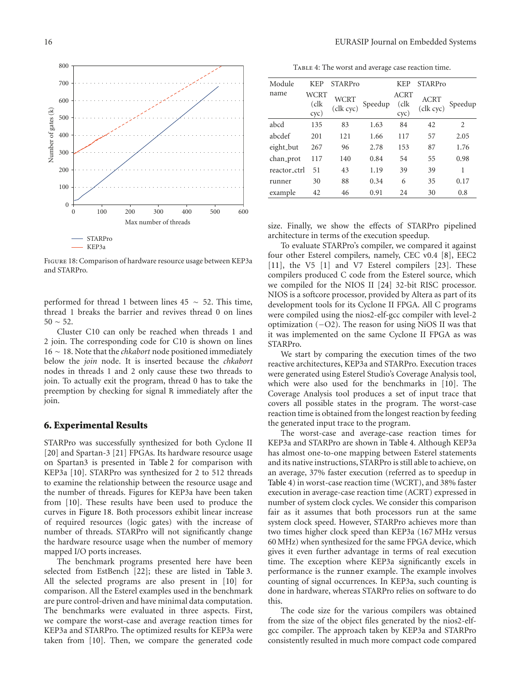

Figure 18: Comparison of hardware resource usage between KEP3a and STARPro.

performed for thread 1 between lines  $45 \sim 52$ . This time, thread 1 breaks the barrier and revives thread 0 on lines  $50 \sim 52$ .

Cluster C10 can only be reached when threads 1 and 2 join. The corresponding code for C10 is shown on lines 16 ∼ 18. Note that the *chkabort* node positioned immediately below the *join* node. It is inserted because the *chkabort* nodes in threads 1 and 2 only cause these two threads to join. To actually exit the program, thread 0 has to take the preemption by checking for signal R immediately after the join.

### **6. Experimental Results**

STARPro was successfully synthesized for both Cyclone II [20] and Spartan-3 [21] FPGAs. Its hardware resource usage on Spartan3 is presented in Table 2 for comparison with KEP3a [10]. STARPro was synthesized for 2 to 512 threads to examine the relationship between the resource usage and the number of threads. Figures for KEP3a have been taken from [10]. These results have been used to produce the curves in Figure 18. Both processors exhibit linear increase of required resources (logic gates) with the increase of number of threads. STARPro will not significantly change the hardware resource usage when the number of memory mapped I/O ports increases.

The benchmark programs presented here have been selected from EstBench [22]; these are listed in Table 3. All the selected programs are also present in [10] for comparison. All the Esterel examples used in the benchmark are pure control-driven and have minimal data computation. The benchmarks were evaluated in three aspects. First, we compare the worst-case and average reaction times for KEP3a and STARPro. The optimized results for KEP3a were taken from [10]. Then, we compare the generated code

Table 4: The worst and average case reaction time.

| Module       | <b>KEP</b>           | <b>STARPro</b>    |         | <b>KEP</b>                  | STARPro                  |         |
|--------------|----------------------|-------------------|---------|-----------------------------|--------------------------|---------|
| name         | WCRT<br>(clk<br>cyc) | WCRT<br>(clk cyc) | Speedup | <b>ACRT</b><br>(clk<br>cyc) | <b>ACRT</b><br>(clk cyc) | Speedup |
| abcd         | 135                  | 83                | 1.63    | 84                          | 42                       | 2       |
| abcdef       | 201                  | 121               | 1.66    | 117                         | 57                       | 2.05    |
| eight_but    | 267                  | 96                | 2.78    | 153                         | 87                       | 1.76    |
| chan_prot    | 117                  | 140               | 0.84    | 54                          | 55                       | 0.98    |
| reactor_ctrl | 51                   | 43                | 1.19    | 39                          | 39                       | 1       |
| runner       | 30                   | 88                | 0.34    | 6                           | 35                       | 0.17    |
| example      | 42                   | 46                | 0.91    | 24                          | 30                       | 0.8     |
|              |                      |                   |         |                             |                          |         |

size. Finally, we show the effects of STARPro pipelined architecture in terms of the execution speedup.

To evaluate STARPro's compiler, we compared it against four other Esterel compilers, namely, CEC v0.4 [8], EEC2 [11], the V5 [1] and V7 Esterel compilers [23]. These compilers produced C code from the Esterel source, which we compiled for the NIOS II [24] 32-bit RISC processor. NIOS is a softcore processor, provided by Altera as part of its development tools for its Cyclone II FPGA. All C programs were compiled using the nios2-elf-gcc compiler with level-2 optimization (−O2). The reason for using NiOS II was that it was implemented on the same Cyclone II FPGA as was STARPro.

We start by comparing the execution times of the two reactive architectures, KEP3a and STARPro. Execution traces were generated using Esterel Studio's Coverage Analysis tool, which were also used for the benchmarks in [10]. The Coverage Analysis tool produces a set of input trace that covers all possible states in the program. The worst-case reaction time is obtained from the longest reaction by feeding the generated input trace to the program.

The worst-case and average-case reaction times for KEP3a and STARPro are shown in Table 4. Although KEP3a has almost one-to-one mapping between Esterel statements and its native instructions, STARPro is still able to achieve, on an average, 37% faster execution (referred as to speedup in Table 4) in worst-case reaction time (WCRT), and 38% faster execution in average-case reaction time (ACRT) expressed in number of system clock cycles. We consider this comparison fair as it assumes that both processors run at the same system clock speed. However, STARPro achieves more than two times higher clock speed than KEP3a (167 MHz versus 60 MHz) when synthesized for the same FPGA device, which gives it even further advantage in terms of real execution time. The exception where KEP3a significantly excels in performance is the runner example. The example involves counting of signal occurrences. In KEP3a, such counting is done in hardware, whereas STARPro relies on software to do this.

The code size for the various compilers was obtained from the size of the object files generated by the nios2-elfgcc compiler. The approach taken by KEP3a and STARPro consistently resulted in much more compact code compared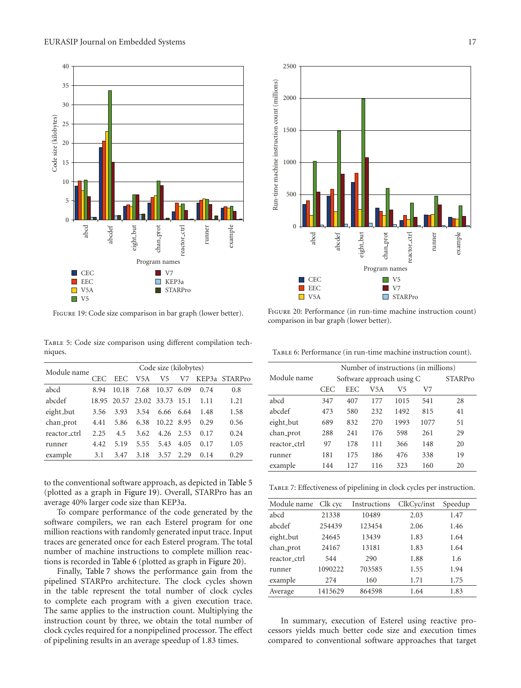

Figure 19: Code size comparison in bar graph (lower better).

Table 5: Code size comparison using different compilation techniques.

| Module name  | Code size (kilobytes) |       |                              |            |      |      |               |  |
|--------------|-----------------------|-------|------------------------------|------------|------|------|---------------|--|
|              | CEC.                  | EEC   | $V5A$ $V5$                   |            | V7   |      | KEP3a STARPro |  |
| abcd         | 8.94                  | 10.18 | 7.68                         | 10.37 6.09 |      | 0.74 | 0.8           |  |
| abcdef       |                       |       | 18.95 20.57 23.02 33.73 15.1 |            |      | 1.11 | 1.21          |  |
| eight_but    | 3.56                  | 3.93  | 3.54                         | 6.66 6.64  |      | 1.48 | 1.58          |  |
| chan_prot    | 4.41                  | 5.86  | 6.38                         | 10.22 8.95 |      | 0.29 | 0.56          |  |
| reactor_ctrl | 2.25                  | 4.5   | 3.62                         | 4.26       | 2.53 | 0.17 | 0.24          |  |
| runner       | 4.42                  | 5.19  | 5.55                         | 5.43       | 4.05 | 0.17 | 1.05          |  |
| example      | 3.1                   | 3.47  | 3.18                         | 3.57       | 2.29 | 0.14 | 0.29          |  |

to the conventional software approach, as depicted in Table 5 (plotted as a graph in Figure 19). Overall, STARPro has an average 40% larger code size than KEP3a.

To compare performance of the code generated by the software compilers, we ran each Esterel program for one million reactions with randomly generated input trace. Input traces are generated once for each Esterel program. The total number of machine instructions to complete million reactions is recorded in Table 6 (plotted as graph in Figure 20).

Finally, Table 7 shows the performance gain from the pipelined STARPro architecture. The clock cycles shown in the table represent the total number of clock cycles to complete each program with a given execution trace. The same applies to the instruction count. Multiplying the instruction count by three, we obtain the total number of clock cycles required for a nonpipelined processor. The effect of pipelining results in an average speedup of 1.83 times.



Figure 20: Performance (in run-time machine instruction count) comparison in bar graph (lower better).

Table 6: Performance (in run-time machine instruction count).

|              | Number of instructions (in millions) |         |     |      |      |    |
|--------------|--------------------------------------|---------|-----|------|------|----|
| Module name  | Software approach using C            | STARPro |     |      |      |    |
|              | CEC                                  | EEC     | V5A | V5   | V7   |    |
| abcd         | 347                                  | 407     | 177 | 1015 | 541  | 28 |
| abcdef       | 473                                  | 580     | 232 | 1492 | 815  | 41 |
| eight_but    | 689                                  | 832     | 270 | 1993 | 1077 | 51 |
| chan_prot    | 288                                  | 241     | 176 | 598  | 261  | 29 |
| reactor ctrl | 97                                   | 178     | 111 | 366  | 148  | 20 |
| runner       | 181                                  | 175     | 186 | 476  | 338  | 19 |
| example      | 144                                  | 127     | 116 | 323  | 160  | 20 |

TABLE 7: Effectiveness of pipelining in clock cycles per instruction.

| Module name  | Clk cyc | Instructions | ClkCyc/inst | Speedup |
|--------------|---------|--------------|-------------|---------|
| abcd         | 21338   | 10489        | 2.03        | 1.47    |
| abcdef       | 254439  | 123454       | 2.06        | 1.46    |
| eight_but    | 24645   | 13439        | 1.83        | 1.64    |
| chan_prot    | 24167   | 13181        | 1.83        | 1.64    |
| reactor_ctrl | 544     | 290          | 1.88        | 1.6     |
| runner       | 1090222 | 703585       | 1.55        | 1.94    |
| example      | 274     | 160          | 1.71        | 1.75    |
| Average      | 1415629 | 864598       | 1.64        | 1.83    |

In summary, execution of Esterel using reactive processors yields much better code size and execution times compared to conventional software approaches that target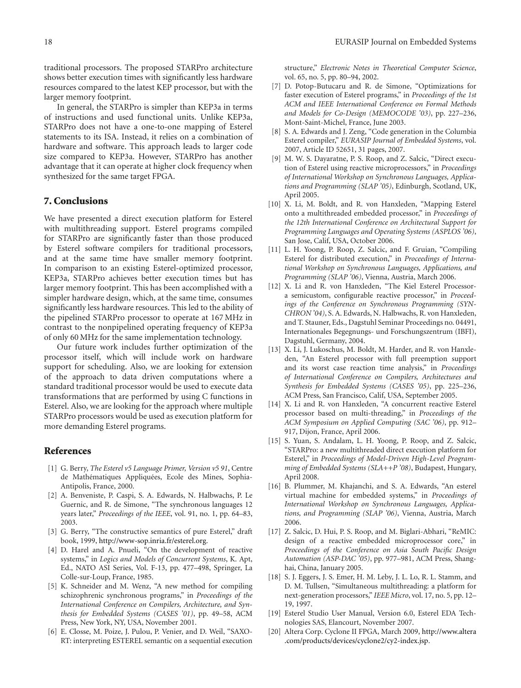traditional processors. The proposed STARPro architecture shows better execution times with significantly less hardware resources compared to the latest KEP processor, but with the larger memory footprint.

In general, the STARPro is simpler than KEP3a in terms of instructions and used functional units. Unlike KEP3a, STARPro does not have a one-to-one mapping of Esterel statements to its ISA. Instead, it relies on a combination of hardware and software. This approach leads to larger code size compared to KEP3a. However, STARPro has another advantage that it can operate at higher clock frequency when synthesized for the same target FPGA.

# **7. Conclusions**

We have presented a direct execution platform for Esterel with multithreading support. Esterel programs compiled for STARPro are significantly faster than those produced by Esterel software compilers for traditional processors, and at the same time have smaller memory footprint. In comparison to an existing Esterel-optimized processor, KEP3a, STARPro achieves better execution times but has larger memory footprint. This has been accomplished with a simpler hardware design, which, at the same time, consumes significantly less hardware resources. This led to the ability of the pipelined STARPro processor to operate at 167 MHz in contrast to the nonpipelined operating frequency of KEP3a of only 60 MHz for the same implementation technology.

Our future work includes further optimization of the processor itself, which will include work on hardware support for scheduling. Also, we are looking for extension of the approach to data driven computations where a standard traditional processor would be used to execute data transformations that are performed by using C functions in Esterel. Also, we are looking for the approach where multiple STARPro processors would be used as execution platform for more demanding Esterel programs.

## **References**

- [1] G. Berry, *The Esterel v5 Language Primer, Version v5 91*, Centre de Mathématiques Appliquées, Ecole des Mines, Sophia-Antipolis, France, 2000.
- [2] A. Benveniste, P. Caspi, S. A. Edwards, N. Halbwachs, P. Le Guernic, and R. de Simone, "The synchronous languages 12 years later," *Proceedings of the IEEE*, vol. 91, no. 1, pp. 64–83, 2003.
- [3] G. Berry, "The constructive semantics of pure Esterel," draft book, 1999, http://www-sop.inria.fr/esterel.org.
- [4] D. Harel and A. Pnueli, "On the development of reactive systems," in *Logics and Models of Concurrent Systems*, K. Apt, Ed., NATO ASI Series, Vol. F-13, pp. 477–498, Springer, La Colle-sur-Loup, France, 1985.
- [5] K. Schneider and M. Wenz, "A new method for compiling schizophrenic synchronous programs," in *Proceedings of the International Conference on Compilers, Architecture, and Synthesis for Embedded Systems (CASES '01)*, pp. 49–58, ACM Press, New York, NY, USA, November 2001.
- [6] E. Closse, M. Poize, J. Pulou, P. Venier, and D. Weil, "SAXO-RT: interpreting ESTEREL semantic on a sequential execution

structure," *Electronic Notes in Theoretical Computer Science*, vol. 65, no. 5, pp. 80–94, 2002.

- [7] D. Potop-Butucaru and R. de Simone, "Optimizations for faster execution of Esterel programs," in *Proceedings of the 1st ACM and IEEE International Conference on Formal Methods and Models for Co-Design (MEMOCODE '03)*, pp. 227–236, Mont-Saint-Michel, France, June 2003.
- [8] S. A. Edwards and J. Zeng, "Code generation in the Columbia Esterel compiler," *EURASIP Journal of Embedded Systems*, vol. 2007, Article ID 52651, 31 pages, 2007.
- [9] M. W. S. Dayaratne, P. S. Roop, and Z. Salcic, "Direct execution of Esterel using reactive microprocessors," in *Proceedings of International Workshop on Synchronous Languages, Applications and Programming (SLAP '05)*, Edinburgh, Scotland, UK, April 2005.
- [10] X. Li, M. Boldt, and R. von Hanxleden, "Mapping Esterel onto a multithreaded embedded processor," in *Proceedings of the 12th International Conference on Architectural Support for Programming Languages and Operating Systems (ASPLOS '06)*, San Jose, Calif, USA, October 2006.
- [11] L. H. Yoong, P. Roop, Z. Salcic, and F. Gruian, "Compiling Esterel for distributed execution," in *Proceedings of International Workshop on Synchronous Languages, Applications, and Programming (SLAP '06)*, Vienna, Austria, March 2006.
- [12] X. Li and R. von Hanxleden, "The Kiel Esterel Processora semicustom, configurable reactive processor," in *Proceedings of the Conference on Synchronous Programming (SYN-CHRON '04)*, S. A. Edwards, N. Halbwachs, R. von Hanxleden, and T. Stauner, Eds., Dagstuhl Seminar Proceedings no. 04491, Internationales Begegnungs- und Forschungszentrum (IBFI), Dagstuhl, Germany, 2004.
- [13] X. Li, J. Lukoschus, M. Boldt, M. Harder, and R. von Hanxleden, "An Esterel processor with full preemption support and its worst case reaction time analysis," in *Proceedings of International Conference on Compilers, Architectures and Synthesis for Embedded Systems (CASES '05)*, pp. 225–236, ACM Press, San Francisco, Calif, USA, September 2005.
- [14] X. Li and R. von Hanxleden, "A concurrent reactive Esterel processor based on multi-threading," in *Proceedings of the ACM Symposium on Applied Computing (SAC '06)*, pp. 912– 917, Dijon, France, April 2006.
- [15] S. Yuan, S. Andalam, L. H. Yoong, P. Roop, and Z. Salcic, "STARPro: a new multithreaded direct execution platform for Esterel," in *Proceedings of Model-Driven High-Level Programming of Embedded Systems (SLA++P '08)*, Budapest, Hungary, April 2008.
- [16] B. Plummer, M. Khajanchi, and S. A. Edwards, "An esterel virtual machine for embedded systems," in *Proceedings of International Workshop on Synchronous Languages, Applications, and Programming (SLAP '06)*, Vienna, Austria, March 2006.
- [17] Z. Salcic, D. Hui, P. S. Roop, and M. Biglari-Abhari, "ReMIC: design of a reactive embedded microprocessor core," in *Proceedings of the Conference on Asia South Pacific Design Automation (ASP-DAC '05)*, pp. 977–981, ACM Press, Shanghai, China, January 2005.
- [18] S. J. Eggers, J. S. Emer, H. M. Leby, J. L. Lo, R. L. Stamm, and D. M. Tullsen, "Simultaneous multithreading: a platform for next-generation processors," *IEEE Micro*, vol. 17, no. 5, pp. 12– 19, 1997.
- [19] Esterel Studio User Manual, Version 6.0, Esterel EDA Technologies SAS, Elancourt, November 2007.
- [20] Altera Corp. Cyclone II FPGA, March 2009, http://www.altera .com/products/devices/cyclone2/cy2-index.jsp.